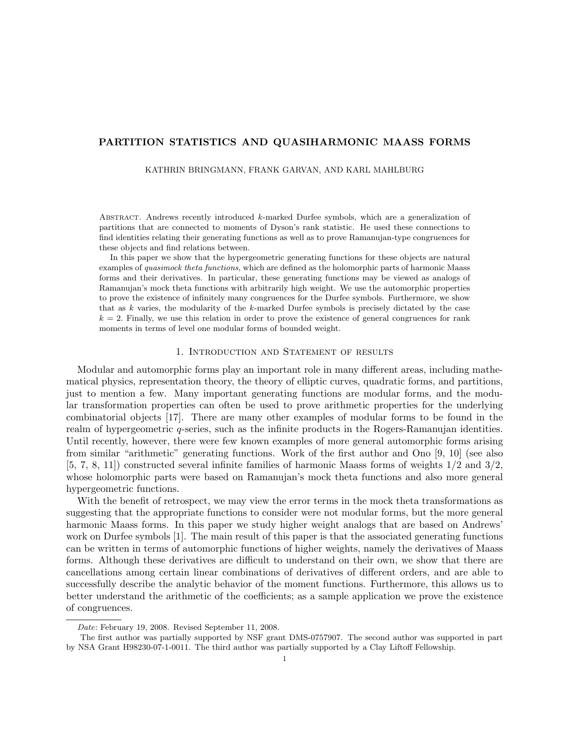# PARTITION STATISTICS AND QUASIHARMONIC MAASS FORMS

#### KATHRIN BRINGMANN, FRANK GARVAN, AND KARL MAHLBURG

ABSTRACT. Andrews recently introduced  $k$ -marked Durfee symbols, which are a generalization of partitions that are connected to moments of Dyson's rank statistic. He used these connections to find identities relating their generating functions as well as to prove Ramanujan-type congruences for these objects and find relations between.

In this paper we show that the hypergeometric generating functions for these objects are natural examples of *quasimock theta functions*, which are defined as the holomorphic parts of harmonic Maass forms and their derivatives. In particular, these generating functions may be viewed as analogs of Ramanujan's mock theta functions with arbitrarily high weight. We use the automorphic properties to prove the existence of infinitely many congruences for the Durfee symbols. Furthermore, we show that as  $k$  varies, the modularity of the  $k$ -marked Durfee symbols is precisely dictated by the case  $k = 2$ . Finally, we use this relation in order to prove the existence of general congruences for rank moments in terms of level one modular forms of bounded weight.

## 1. Introduction and Statement of results

Modular and automorphic forms play an important role in many different areas, including mathematical physics, representation theory, the theory of elliptic curves, quadratic forms, and partitions, just to mention a few. Many important generating functions are modular forms, and the modular transformation properties can often be used to prove arithmetic properties for the underlying combinatorial objects [17]. There are many other examples of modular forms to be found in the realm of hypergeometric q-series, such as the infinite products in the Rogers-Ramanujan identities. Until recently, however, there were few known examples of more general automorphic forms arising from similar "arithmetic" generating functions. Work of the first author and Ono [9, 10] (see also  $[5, 7, 8, 11]$  constructed several infinite families of harmonic Maass forms of weights  $1/2$  and  $3/2$ , whose holomorphic parts were based on Ramanujan's mock theta functions and also more general hypergeometric functions.

With the benefit of retrospect, we may view the error terms in the mock theta transformations as suggesting that the appropriate functions to consider were not modular forms, but the more general harmonic Maass forms. In this paper we study higher weight analogs that are based on Andrews' work on Durfee symbols [1]. The main result of this paper is that the associated generating functions can be written in terms of automorphic functions of higher weights, namely the derivatives of Maass forms. Although these derivatives are difficult to understand on their own, we show that there are cancellations among certain linear combinations of derivatives of different orders, and are able to successfully describe the analytic behavior of the moment functions. Furthermore, this allows us to better understand the arithmetic of the coefficients; as a sample application we prove the existence of congruences.

Date: February 19, 2008. Revised September 11, 2008.

The first author was partially supported by NSF grant DMS-0757907. The second author was supported in part by NSA Grant H98230-07-1-0011. The third author was partially supported by a Clay Liftoff Fellowship.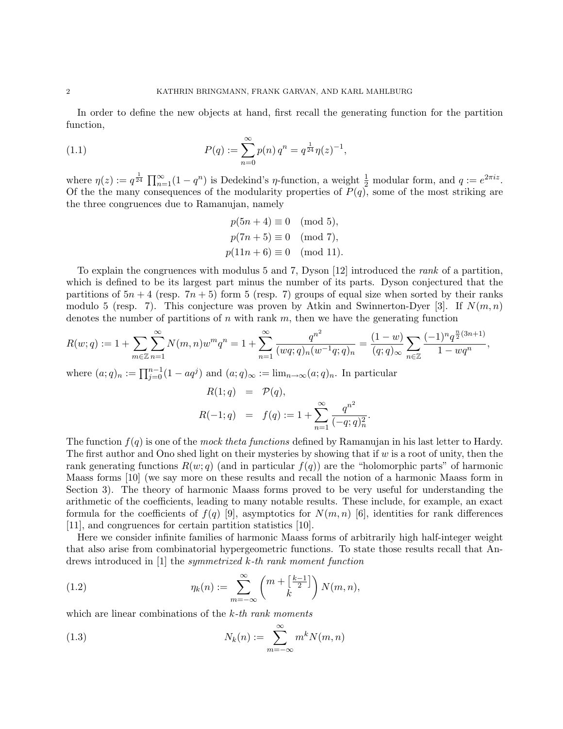In order to define the new objects at hand, first recall the generating function for the partition function,

(1.1) 
$$
P(q) := \sum_{n=0}^{\infty} p(n) q^n = q^{\frac{1}{24}} \eta(z)^{-1},
$$

where  $\eta(z) := q^{\frac{1}{24}} \prod_{n=1}^{\infty} (1 - q^n)$  is Dedekind's  $\eta$ -function, a weight  $\frac{1}{2}$  modular form, and  $q := e^{2\pi i z}$ . Of the the many consequences of the modularity properties of  $P(q)$ , some of the most striking are the three congruences due to Ramanujan, namely

> $p(5n + 4) \equiv 0 \pmod{5}$ ,  $p(7n+5) \equiv 0 \pmod{7}$ ,  $p(11n + 6) \equiv 0 \pmod{11}$ .

To explain the congruences with modulus 5 and 7, Dyson [12] introduced the rank of a partition, which is defined to be its largest part minus the number of its parts. Dyson conjectured that the partitions of  $5n + 4$  (resp.  $7n + 5$ ) form 5 (resp. 7) groups of equal size when sorted by their ranks modulo 5 (resp. 7). This conjecture was proven by Atkin and Swinnerton-Dyer [3]. If  $N(m, n)$ denotes the number of partitions of  $n$  with rank  $m$ , then we have the generating function

$$
R(w;q) := 1 + \sum_{m \in \mathbb{Z}} \sum_{n=1}^{\infty} N(m,n) w^m q^n = 1 + \sum_{n=1}^{\infty} \frac{q^{n^2}}{(wq;q)_n (w^{-1}q;q)_n} = \frac{(1-w)}{(q;q)_{\infty}} \sum_{n \in \mathbb{Z}} \frac{(-1)^n q^{\frac{n}{2}(3n+1)}}{1 - w q^n},
$$

where  $(a;q)_n := \prod_{j=0}^{n-1} (1 - aq^j)$  and  $(a;q)_{\infty} := \lim_{n \to \infty} (a;q)_n$ . In particular  $R(t)$  =  $R(t)$ 

$$
R(1;q) = P(q),
$$
  

$$
R(-1;q) = f(q) := 1 + \sum_{n=1}^{\infty} \frac{q^{n^2}}{(-q;q)_n^2}.
$$

The function  $f(q)$  is one of the mock theta functions defined by Ramanujan in his last letter to Hardy. The first author and Ono shed light on their mysteries by showing that if  $w$  is a root of unity, then the rank generating functions  $R(w; q)$  (and in particular  $f(q)$ ) are the "holomorphic parts" of harmonic Maass forms [10] (we say more on these results and recall the notion of a harmonic Maass form in Section 3). The theory of harmonic Maass forms proved to be very useful for understanding the arithmetic of the coefficients, leading to many notable results. These include, for example, an exact formula for the coefficients of  $f(q)$  [9], asymptotics for  $N(m, n)$  [6], identities for rank differences [11], and congruences for certain partition statistics [10].

Here we consider infinite families of harmonic Maass forms of arbitrarily high half-integer weight that also arise from combinatorial hypergeometric functions. To state those results recall that Andrews introduced in [1] the symmetrized k-th rank moment function

(1.2) 
$$
\eta_k(n) := \sum_{m=-\infty}^{\infty} \binom{m + \left[\frac{k-1}{2}\right]}{k} N(m,n),
$$

which are linear combinations of the k-th rank moments

(1.3) 
$$
N_k(n) := \sum_{m=-\infty}^{\infty} m^k N(m,n)
$$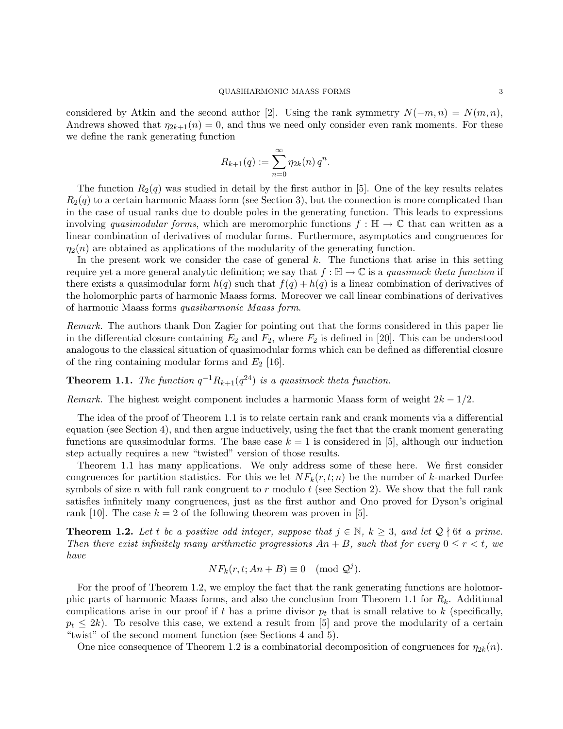considered by Atkin and the second author [2]. Using the rank symmetry  $N(-m, n) = N(m, n)$ , Andrews showed that  $\eta_{2k+1}(n) = 0$ , and thus we need only consider even rank moments. For these we define the rank generating function

$$
R_{k+1}(q) := \sum_{n=0}^{\infty} \eta_{2k}(n) q^n.
$$

The function  $R_2(q)$  was studied in detail by the first author in [5]. One of the key results relates  $R_2(q)$  to a certain harmonic Maass form (see Section 3), but the connection is more complicated than in the case of usual ranks due to double poles in the generating function. This leads to expressions involving quasimodular forms, which are meromorphic functions  $f : \mathbb{H} \to \mathbb{C}$  that can written as a linear combination of derivatives of modular forms. Furthermore, asymptotics and congruences for  $\eta_2(n)$  are obtained as applications of the modularity of the generating function.

In the present work we consider the case of general  $k$ . The functions that arise in this setting require yet a more general analytic definition; we say that  $f : \mathbb{H} \to \mathbb{C}$  is a quasimock theta function if there exists a quasimodular form  $h(q)$  such that  $f(q) + h(q)$  is a linear combination of derivatives of the holomorphic parts of harmonic Maass forms. Moreover we call linear combinations of derivatives of harmonic Maass forms quasiharmonic Maass form.

Remark. The authors thank Don Zagier for pointing out that the forms considered in this paper lie in the differential closure containing  $E_2$  and  $F_2$ , where  $F_2$  is defined in [20]. This can be understood analogous to the classical situation of quasimodular forms which can be defined as differential closure of the ring containing modular forms and  $E_2$  [16].

# **Theorem 1.1.** The function  $q^{-1}R_{k+1}(q^{24})$  is a quasimock theta function.

Remark. The highest weight component includes a harmonic Maass form of weight  $2k - 1/2$ .

The idea of the proof of Theorem 1.1 is to relate certain rank and crank moments via a differential equation (see Section 4), and then argue inductively, using the fact that the crank moment generating functions are quasimodular forms. The base case  $k = 1$  is considered in [5], although our induction step actually requires a new "twisted" version of those results.

Theorem 1.1 has many applications. We only address some of these here. We first consider congruences for partition statistics. For this we let  $NF_k(r, t; n)$  be the number of k-marked Durfee symbols of size n with full rank congruent to r modulo t (see Section 2). We show that the full rank satisfies infinitely many congruences, just as the first author and Ono proved for Dyson's original rank [10]. The case  $k = 2$  of the following theorem was proven in [5].

**Theorem 1.2.** Let t be a positive odd integer, suppose that  $j \in \mathbb{N}$ ,  $k \geq 3$ , and let  $\mathcal{Q} \nmid 6t$  a prime. Then there exist infinitely many arithmetic progressions  $An + B$ , such that for every  $0 \le r \le t$ , we have

$$
NF_k(r, t; An + B) \equiv 0 \pmod{\mathcal{Q}^j}.
$$

For the proof of Theorem 1.2, we employ the fact that the rank generating functions are holomorphic parts of harmonic Maass forms, and also the conclusion from Theorem 1.1 for  $R_k$ . Additional complications arise in our proof if t has a prime divisor  $p_t$  that is small relative to k (specifically,  $p_t \leq 2k$ ). To resolve this case, we extend a result from [5] and prove the modularity of a certain "twist" of the second moment function (see Sections 4 and 5).

One nice consequence of Theorem 1.2 is a combinatorial decomposition of congruences for  $\eta_{2k}(n)$ .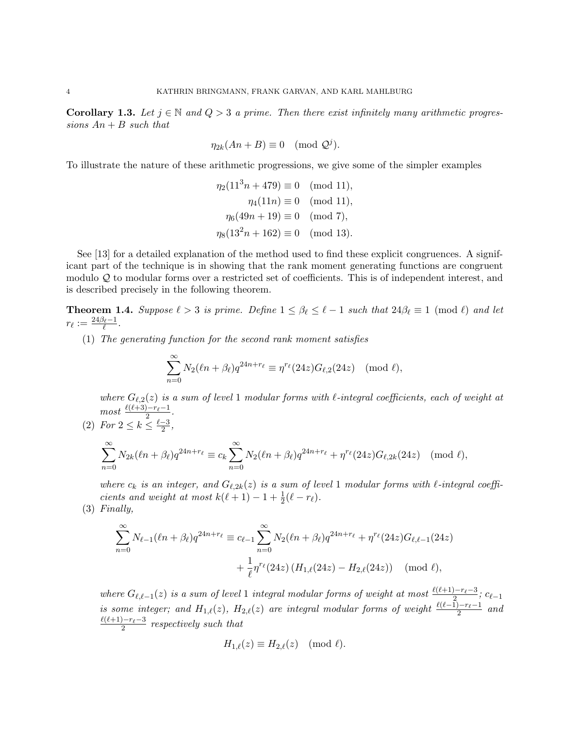**Corollary 1.3.** Let  $j \in \mathbb{N}$  and  $Q > 3$  a prime. Then there exist infinitely many arithmetic progressions  $An + B$  such that

$$
\eta_{2k}(An+B)\equiv 0\pmod{\mathcal Q^j}.
$$

To illustrate the nature of these arithmetic progressions, we give some of the simpler examples

$$
\eta_2(11^3n + 479) \equiv 0 \pmod{11},
$$

$$
\eta_4(11n) \equiv 0 \pmod{11},
$$

$$
\eta_6(49n + 19) \equiv 0 \pmod{7},
$$

$$
\eta_8(13^2n + 162) \equiv 0 \pmod{13}.
$$

See [13] for a detailed explanation of the method used to find these explicit congruences. A significant part of the technique is in showing that the rank moment generating functions are congruent modulo Q to modular forms over a restricted set of coefficients. This is of independent interest, and is described precisely in the following theorem.

**Theorem 1.4.** Suppose  $\ell > 3$  is prime. Define  $1 \leq \beta_{\ell} \leq \ell - 1$  such that  $24\beta_{\ell} \equiv 1 \pmod{\ell}$  and let  $r_\ell := \frac{24\beta_\ell-1}{\ell}.$ 

(1) The generating function for the second rank moment satisfies

$$
\sum_{n=0}^{\infty} N_2(\ell n + \beta_{\ell}) q^{24n+r_{\ell}} \equiv \eta^{r_{\ell}}(24z) G_{\ell,2}(24z) \pmod{\ell},
$$

where  $G_{\ell,2}(z)$  is a sum of level 1 modular forms with  $\ell$ -integral coefficients, each of weight at  $most \frac{\ell(\ell+3)-r_{\ell}-1}{2}.$ 

(2) For  $2 \leq k \leq \frac{\ell-3}{2}$  $\frac{-3}{2}$ ,

$$
\sum_{n=0}^{\infty} N_{2k}(\ell n + \beta_{\ell}) q^{24n+r_{\ell}} \equiv c_k \sum_{n=0}^{\infty} N_2(\ell n + \beta_{\ell}) q^{24n+r_{\ell}} + \eta^{r_{\ell}} (24z) G_{\ell,2k} (24z) \pmod{\ell},
$$

where  $c_k$  is an integer, and  $G_{\ell,2k}(z)$  is a sum of level 1 modular forms with  $\ell$ -integral coefficients and weight at most  $k(\ell + 1) - 1 + \frac{1}{2}(\ell - r_{\ell}).$ 

(3) Finally,

$$
\sum_{n=0}^{\infty} N_{\ell-1}(\ell n + \beta_{\ell}) q^{24n+r_{\ell}} \equiv c_{\ell-1} \sum_{n=0}^{\infty} N_2(\ell n + \beta_{\ell}) q^{24n+r_{\ell}} + \eta^{r_{\ell}} (24z) G_{\ell, \ell-1} (24z)
$$

$$
+ \frac{1}{\ell} \eta^{r_{\ell}} (24z) (H_{1,\ell}(24z) - H_{2,\ell}(24z)) \pmod{\ell},
$$

where  $G_{\ell,\ell-1}(z)$  is a sum of level 1 integral modular forms of weight at most  $\frac{\ell(\ell+1)-r_{\ell}-3}{2}$ ; c<sub> $\ell-1$ </sub> is some integer; and  $H_{1,\ell}(z)$ ,  $H_{2,\ell}(z)$  are integral modular forms of weight  $\frac{\ell(\ell-1)-r_{\ell}-1}{2}$  and  $\ell(\ell+1)-r_{\ell}-3$  $rac{2^{j-r_{\ell}-3}}{2}$  respectively such that

$$
H_{1,\ell}(z) \equiv H_{2,\ell}(z) \pmod{\ell}.
$$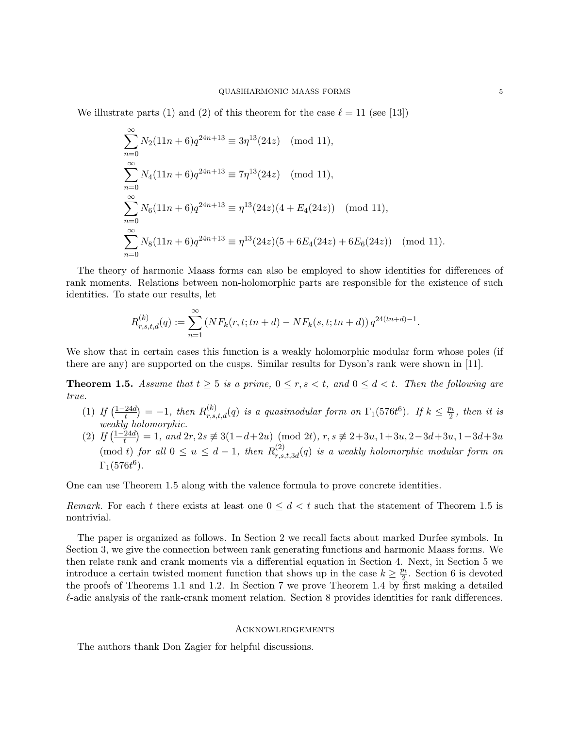We illustrate parts (1) and (2) of this theorem for the case  $\ell = 11$  (see [13])

$$
\sum_{n=0}^{\infty} N_2 (11n + 6) q^{24n+13} \equiv 3\eta^{13} (24z) \pmod{11},
$$
  
\n
$$
\sum_{n=0}^{\infty} N_4 (11n + 6) q^{24n+13} \equiv 7\eta^{13} (24z) \pmod{11},
$$
  
\n
$$
\sum_{n=0}^{\infty} N_6 (11n + 6) q^{24n+13} \equiv \eta^{13} (24z) (4 + E_4 (24z)) \pmod{11},
$$
  
\n
$$
\sum_{n=0}^{\infty} N_8 (11n + 6) q^{24n+13} \equiv \eta^{13} (24z) (5 + 6E_4 (24z) + 6E_6 (24z)) \pmod{11}.
$$

The theory of harmonic Maass forms can also be employed to show identities for differences of rank moments. Relations between non-holomorphic parts are responsible for the existence of such identities. To state our results, let

$$
R_{r,s,t,d}^{(k)}(q) := \sum_{n=1}^{\infty} \left( NF_k(r,t;tn+d) - NF_k(s,t;tn+d) \right) q^{24(tn+d)-1}.
$$

We show that in certain cases this function is a weakly holomorphic modular form whose poles (if there are any) are supported on the cusps. Similar results for Dyson's rank were shown in [11].

**Theorem 1.5.** Assume that  $t \geq 5$  is a prime,  $0 \leq r, s < t$ , and  $0 \leq d < t$ . Then the following are true.

- $(1)$  If  $\left(\frac{1-24d}{t}\right)$  $\frac{24d}{t}$  = -1, then  $R_{r,s,t,d}^{(k)}(q)$  is a quasimodular form on  $\Gamma_1(576t^6)$ . If  $k \leq \frac{p_t}{2}$  $\frac{p_t}{2}$ , then it is weakly holomorphic.
- $(2)$  If  $\left(\frac{1-24d}{t}\right)$  $\left(\frac{24d}{t}\right) = 1$ , and  $2r, 2s \not\equiv 3(1-d+2u) \pmod{2t}$ ,  $r, s \not\equiv 2+3u, 1+3u, 2-3d+3u, 1-3d+3u$ (mod t) for all  $0 \le u \le d-1$ , then  $R_{rs}^{(2)}$  $\mathcal{L}_{r,s,t,3d}^{(2)}(q)$  is a weakly holomorphic modular form on  $\Gamma_1(576 t^6)$ .

One can use Theorem 1.5 along with the valence formula to prove concrete identities.

Remark. For each t there exists at least one  $0 \leq d < t$  such that the statement of Theorem 1.5 is nontrivial.

The paper is organized as follows. In Section 2 we recall facts about marked Durfee symbols. In Section 3, we give the connection between rank generating functions and harmonic Maass forms. We then relate rank and crank moments via a differential equation in Section 4. Next, in Section 5 we introduce a certain twisted moment function that shows up in the case  $k \geq \frac{p_t}{2}$  $\frac{b_t}{2}$ . Section 6 is devoted the proofs of Theorems 1.1 and 1.2. In Section 7 we prove Theorem 1.4 by first making a detailed  $\ell$ -adic analysis of the rank-crank moment relation. Section 8 provides identities for rank differences.

#### **ACKNOWLEDGEMENTS**

The authors thank Don Zagier for helpful discussions.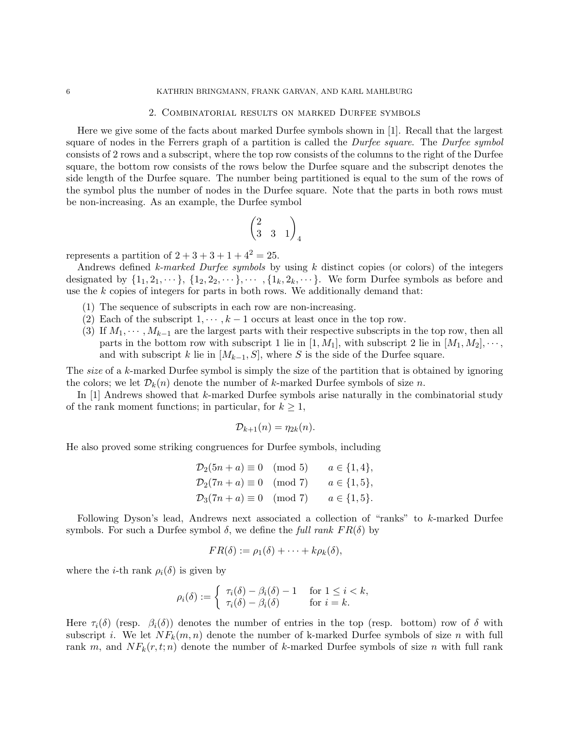#### 6 KATHRIN BRINGMANN, FRANK GARVAN, AND KARL MAHLBURG

## 2. Combinatorial results on marked Durfee symbols

Here we give some of the facts about marked Durfee symbols shown in [1]. Recall that the largest square of nodes in the Ferrers graph of a partition is called the *Durfee square*. The *Durfee symbol* consists of 2 rows and a subscript, where the top row consists of the columns to the right of the Durfee square, the bottom row consists of the rows below the Durfee square and the subscript denotes the side length of the Durfee square. The number being partitioned is equal to the sum of the rows of the symbol plus the number of nodes in the Durfee square. Note that the parts in both rows must be non-increasing. As an example, the Durfee symbol

$$
\begin{pmatrix}2&&\\3&3&1\end{pmatrix}_4
$$

represents a partition of  $2 + 3 + 3 + 1 + 4^2 = 25$ .

Andrews defined k-marked Durfee symbols by using  $k$  distinct copies (or colors) of the integers designated by  $\{1_1, 2_1, \dots\}$ ,  $\{1_2, 2_2, \dots\}$ ,  $\{1_k, 2_k, \dots\}$ . We form Durfee symbols as before and use the  $k$  copies of integers for parts in both rows. We additionally demand that:

- (1) The sequence of subscripts in each row are non-increasing.
- (2) Each of the subscript  $1, \dots, k-1$  occurs at least once in the top row.
- (3) If  $M_1, \dots, M_{k-1}$  are the largest parts with their respective subscripts in the top row, then all parts in the bottom row with subscript 1 lie in  $[1, M_1]$ , with subscript 2 lie in  $[M_1, M_2], \cdots$ , and with subscript k lie in  $[M_{k-1}, S]$ , where S is the side of the Durfee square.

The *size* of a k-marked Durfee symbol is simply the size of the partition that is obtained by ignoring the colors; we let  $\mathcal{D}_k(n)$  denote the number of k-marked Durfee symbols of size n.

In [1] Andrews showed that k-marked Durfee symbols arise naturally in the combinatorial study of the rank moment functions; in particular, for  $k \geq 1$ ,

$$
\mathcal{D}_{k+1}(n) = \eta_{2k}(n).
$$

He also proved some striking congruences for Durfee symbols, including

$$
\mathcal{D}_2(5n + a) \equiv 0 \pmod{5} \qquad a \in \{1, 4\},
$$
  

$$
\mathcal{D}_2(7n + a) \equiv 0 \pmod{7} \qquad a \in \{1, 5\},
$$
  

$$
\mathcal{D}_3(7n + a) \equiv 0 \pmod{7} \qquad a \in \{1, 5\}.
$$

Following Dyson's lead, Andrews next associated a collection of "ranks" to k-marked Durfee symbols. For such a Durfee symbol  $\delta$ , we define the full rank  $FR(\delta)$  by

$$
FR(\delta) := \rho_1(\delta) + \cdots + k\rho_k(\delta),
$$

where the *i*-th rank  $\rho_i(\delta)$  is given by

$$
\rho_i(\delta) := \begin{cases} \tau_i(\delta) - \beta_i(\delta) - 1 & \text{for } 1 \le i < k, \\ \tau_i(\delta) - \beta_i(\delta) & \text{for } i = k. \end{cases}
$$

Here  $\tau_i(\delta)$  (resp.  $\beta_i(\delta)$ ) denotes the number of entries in the top (resp. bottom) row of  $\delta$  with subscript i. We let  $NF_k(m, n)$  denote the number of k-marked Durfee symbols of size n with full rank m, and  $NF_k(r, t; n)$  denote the number of k-marked Durfee symbols of size n with full rank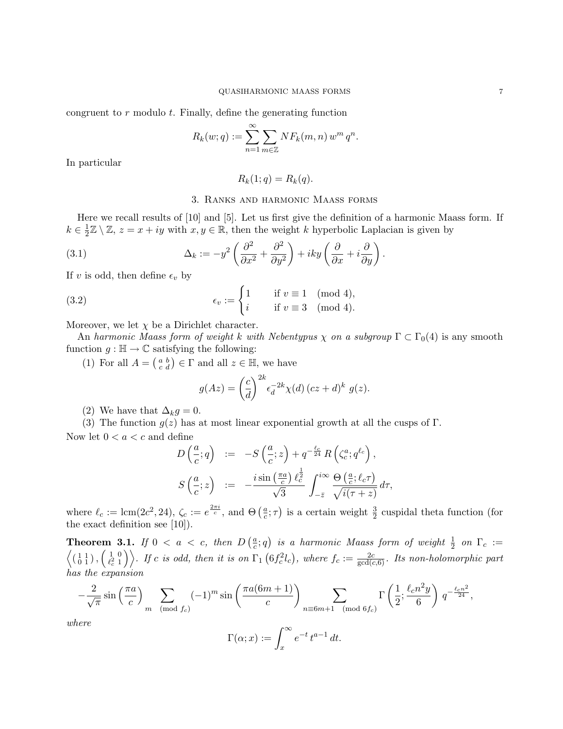congruent to  $r$  modulo  $t$ . Finally, define the generating function

$$
R_k(w;q) := \sum_{n=1}^{\infty} \sum_{m \in \mathbb{Z}} NF_k(m,n) w^m q^n.
$$

In particular

 $R_k(1; q) = R_k(q).$ 

## 3. Ranks and harmonic Maass forms

Here we recall results of [10] and [5]. Let us first give the definition of a harmonic Maass form. If  $k \in \frac{1}{2}$  $\frac{1}{2}\mathbb{Z}\setminus\mathbb{Z}, z=x+iy$  with  $x,y\in\mathbb{R}$ , then the weight k hyperbolic Laplacian is given by

(3.1) 
$$
\Delta_k := -y^2 \left( \frac{\partial^2}{\partial x^2} + \frac{\partial^2}{\partial y^2} \right) + iky \left( \frac{\partial}{\partial x} + i \frac{\partial}{\partial y} \right).
$$

If v is odd, then define  $\epsilon_v$  by

(3.2) 
$$
\epsilon_v := \begin{cases} 1 & \text{if } v \equiv 1 \pmod{4}, \\ i & \text{if } v \equiv 3 \pmod{4}. \end{cases}
$$

Moreover, we let  $\chi$  be a Dirichlet character.

An harmonic Maass form of weight k with Nebentypus  $\chi$  on a subgroup  $\Gamma \subset \Gamma_0(4)$  is any smooth function  $g : \mathbb{H} \to \mathbb{C}$  satisfying the following:

(1) For all  $A = \begin{pmatrix} a & b \\ c & d \end{pmatrix} \in \Gamma$  and all  $z \in \mathbb{H}$ , we have

$$
g(Az) = \left(\frac{c}{d}\right)^{2k} \epsilon_d^{-2k} \chi(d) \left( cz + d \right)^k g(z).
$$

(2) We have that  $\Delta_k g = 0$ .

(3) The function  $g(z)$  has at most linear exponential growth at all the cusps of Γ. Now let  $0 < a < c$  and define

$$
D\left(\frac{a}{c};q\right) := -S\left(\frac{a}{c};z\right) + q^{-\frac{\ell_c}{24}}R\left(\zeta_c^a;q^{\ell_c}\right),
$$
  

$$
S\left(\frac{a}{c};z\right) := -\frac{i\sin\left(\frac{\pi a}{c}\right)\ell_c^{\frac{1}{2}}}{\sqrt{3}}\int_{-\bar{z}}^{i\infty}\frac{\Theta\left(\frac{a}{c};\ell_c\tau\right)}{\sqrt{i(\tau+z)}}d\tau,
$$

where  $\ell_c := \text{lcm}(2c^2, 24)$ ,  $\zeta_c := e^{\frac{2\pi i}{c}}$ , and  $\Theta\left(\frac{a}{c}\right)$  $(\frac{a}{c}; \tau)$  is a certain weight  $\frac{3}{2}$  cuspidal theta function (for the exact definition see [10]).

**Theorem 3.1.** If  $0 < a < c$ , then  $D\left(\frac{a}{c}\right)$  $\left(\frac{a}{c};q\right)$  is a harmonic Maass form of weight  $\frac{1}{2}$  on  $\Gamma_c :=$  $\left\langle \left(\begin{smallmatrix} 1 & 1 \\ 0 & 1 \end{smallmatrix}\right), \left(\begin{smallmatrix} 1 & 0 \\ \ell_c^2 & 1 \end{smallmatrix}\right) \right.$  $\binom{1}{k^2-1}$ . If c is odd, then it is on  $\Gamma_1(6f_c^2l_c)$ , where  $f_c := \frac{2c}{\gcd(c,6)}$ . Its non-holomorphic part has the expansion

$$
-\frac{2}{\sqrt{\pi}}\sin\left(\frac{\pi a}{c}\right) \sum_{m \pmod{f_c}} (-1)^m \sin\left(\frac{\pi a(6m+1)}{c}\right) \sum_{n \equiv 6m+1 \pmod{6f_c}} \Gamma\left(\frac{1}{2}; \frac{\ell_c n^2 y}{6}\right) q^{-\frac{\ell_c n^2}{24}},
$$

where

$$
\Gamma(\alpha; x) := \int_x^{\infty} e^{-t} t^{a-1} dt.
$$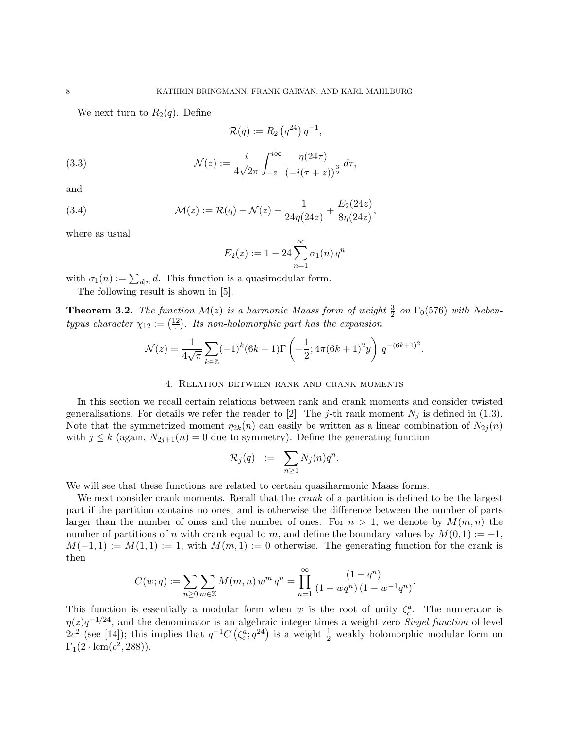We next turn to  $R_2(q)$ . Define

$$
\mathcal{R}(q) := R_2\left(q^{24}\right)q^{-1},
$$

(3.3) 
$$
\mathcal{N}(z) := \frac{i}{4\sqrt{2}\pi} \int_{-\bar{z}}^{i\infty} \frac{\eta(24\tau)}{(-i(\tau + z))^{\frac{3}{2}}} d\tau,
$$

and

(3.4) 
$$
\mathcal{M}(z) := \mathcal{R}(q) - \mathcal{N}(z) - \frac{1}{24\eta(24z)} + \frac{E_2(24z)}{8\eta(24z)},
$$

where as usual

$$
E_2(z) := 1 - 24 \sum_{n=1}^{\infty} \sigma_1(n) q^n
$$

with  $\sigma_1(n) := \sum_{d|n} d$ . This function is a quasimodular form.

The following result is shown in [5].

**Theorem 3.2.** The function  $\mathcal{M}(z)$  is a harmonic Maass form of weight  $\frac{3}{2}$  on  $\Gamma_0(576)$  with Nebentypus character  $\chi_{12} := \left(\frac{12}{\cdot}\right)$ . Its non-holomorphic part has the expansion

$$
\mathcal{N}(z) = \frac{1}{4\sqrt{\pi}} \sum_{k \in \mathbb{Z}} (-1)^k (6k+1) \Gamma\left(-\frac{1}{2}; 4\pi (6k+1)^2 y\right) q^{-(6k+1)^2}.
$$

### 4. Relation between rank and crank moments

In this section we recall certain relations between rank and crank moments and consider twisted generalisations. For details we refer the reader to [2]. The j-th rank moment  $N_j$  is defined in (1.3). Note that the symmetrized moment  $\eta_{2k}(n)$  can easily be written as a linear combination of  $N_{2j}(n)$ with  $j \leq k$  (again,  $N_{2j+1}(n) = 0$  due to symmetry). Define the generating function

$$
\mathcal{R}_j(q) \quad := \quad \sum_{n \geq 1} N_j(n) q^n.
$$

We will see that these functions are related to certain quasiharmonic Maass forms.

We next consider crank moments. Recall that the *crank* of a partition is defined to be the largest part if the partition contains no ones, and is otherwise the difference between the number of parts larger than the number of ones and the number of ones. For  $n > 1$ , we denote by  $M(m, n)$  the number of partitions of n with crank equal to m, and define the boundary values by  $M(0, 1) := -1$ ,  $M(-1,1) := M(1,1) := 1$ , with  $M(m,1) := 0$  otherwise. The generating function for the crank is then

$$
C(w;q) := \sum_{n\geq 0} \sum_{m\in \mathbb{Z}} M(m,n) w^m q^n = \prod_{n=1}^{\infty} \frac{(1-q^n)}{(1-wq^n)(1-w^{-1}q^n)}.
$$

This function is essentially a modular form when w is the root of unity  $\zeta_c^a$ . The numerator is  $\eta(z)q^{-1/24}$ , and the denominator is an algebraic integer times a weight zero Siegel function of level  $2c^2$  (see [14]); this implies that  $q^{-1}C(\zeta_c^a;q^{24})$  is a weight  $\frac{1}{2}$  weakly holomorphic modular form on  $\Gamma_1(2 \cdot \text{lcm}(c^2, 288)).$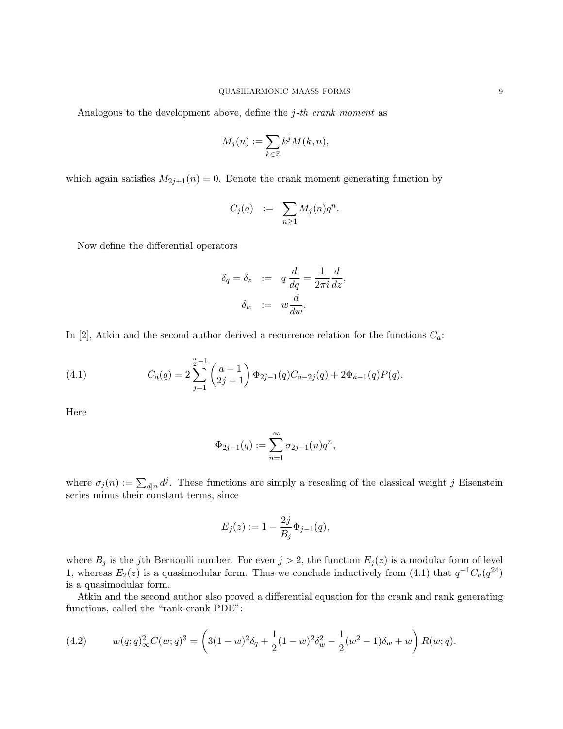Analogous to the development above, define the  $j$ -th crank moment as

$$
M_j(n) := \sum_{k \in \mathbb{Z}} k^j M(k, n),
$$

which again satisfies  $M_{2j+1}(n) = 0$ . Denote the crank moment generating function by

$$
C_j(q) \quad := \quad \sum_{n \geq 1} M_j(n) q^n.
$$

Now define the differential operators

$$
\delta_q = \delta_z \quad := \quad q \, \frac{d}{dq} = \frac{1}{2\pi i} \frac{d}{dz},
$$

$$
\delta_w \quad := \quad w \frac{d}{dw}.
$$

In [2], Atkin and the second author derived a recurrence relation for the functions  $C_a$ :

(4.1) 
$$
C_a(q) = 2 \sum_{j=1}^{\frac{a}{2}-1} {a-1 \choose 2j-1} \Phi_{2j-1}(q) C_{a-2j}(q) + 2 \Phi_{a-1}(q) P(q).
$$

Here

$$
\Phi_{2j-1}(q) := \sum_{n=1}^{\infty} \sigma_{2j-1}(n) q^n,
$$

where  $\sigma_j(n) := \sum_{d|n} d^j$ . These functions are simply a rescaling of the classical weight j Eisenstein series minus their constant terms, since

$$
E_j(z) := 1 - \frac{2j}{B_j} \Phi_{j-1}(q),
$$

where  $B_j$  is the j<sup>th</sup> Bernoulli number. For even  $j > 2$ , the function  $E_j(z)$  is a modular form of level 1, whereas  $E_2(z)$  is a quasimodular form. Thus we conclude inductively from (4.1) that  $q^{-1}C_q(q^{24})$ is a quasimodular form.

Atkin and the second author also proved a differential equation for the crank and rank generating functions, called the "rank-crank PDE":

(4.2) 
$$
w(q;q)^{2}_{\infty}C(w;q)^{3} = \left(3(1-w)^{2}\delta_{q} + \frac{1}{2}(1-w)^{2}\delta_{w}^{2} - \frac{1}{2}(w^{2}-1)\delta_{w} + w\right)R(w;q).
$$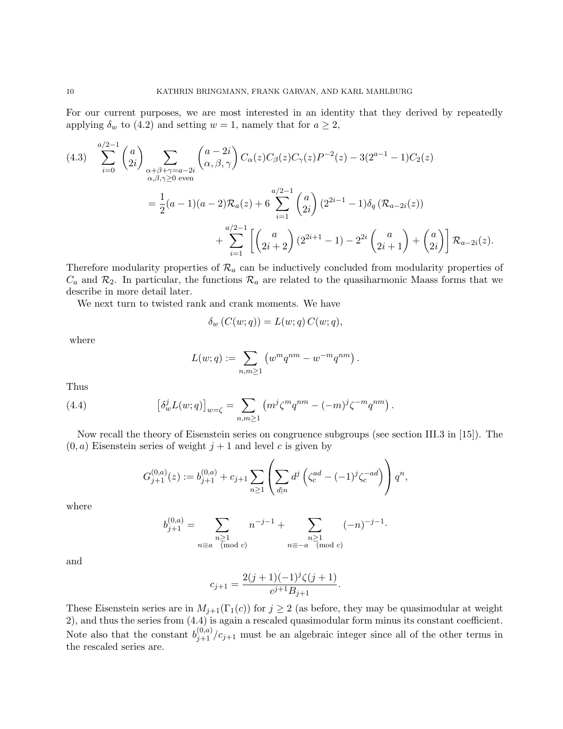For our current purposes, we are most interested in an identity that they derived by repeatedly applying  $\delta_w$  to (4.2) and setting  $w = 1$ , namely that for  $a \geq 2$ ,

$$
(4.3) \sum_{i=0}^{a/2-1} {a \choose 2i} \sum_{\substack{\alpha+\beta+\gamma=a-2i \\ \alpha,\beta,\gamma\geq 0 \text{ even}}} {a-2i \choose \alpha,\beta,\gamma} C_{\alpha}(z) C_{\beta}(z) C_{\gamma}(z) P^{-2}(z) - 3(2^{a-1} - 1) C_{2}(z)
$$
  

$$
= \frac{1}{2} (a-1)(a-2) \mathcal{R}_{a}(z) + 6 \sum_{i=1}^{a/2-1} {a \choose 2i} (2^{2i-1} - 1) \delta_{q} (\mathcal{R}_{a-2i}(z))
$$
  

$$
+ \sum_{i=1}^{a/2-1} \left[ {a \choose 2i+2} (2^{2i+1} - 1) - 2^{2i} {a \choose 2i+1} + {a \choose 2i} \right] \mathcal{R}_{a-2i}(z).
$$

Therefore modularity properties of  $\mathcal{R}_a$  can be inductively concluded from modularity properties of  $C_a$  and  $\mathcal{R}_2$ . In particular, the functions  $\mathcal{R}_a$  are related to the quasiharmonic Maass forms that we describe in more detail later.

We next turn to twisted rank and crank moments. We have

$$
\delta_w(C(w;q)) = L(w;q) C(w;q),
$$

where

$$
L(w; q) := \sum_{n,m \geq 1} (w^m q^{nm} - w^{-m} q^{nm}).
$$

Thus

(4.4) 
$$
\left[\delta_w^j L(w;q)\right]_{w=\zeta} = \sum_{n,m\geq 1} \left(m^j \zeta^m q^{nm} - (-m)^j \zeta^{-m} q^{nm}\right).
$$

Now recall the theory of Eisenstein series on congruence subgroups (see section III.3 in [15]). The  $(0, a)$  Eisenstein series of weight  $j + 1$  and level c is given by

$$
G_{j+1}^{(0,a)}(z) := b_{j+1}^{(0,a)} + c_{j+1} \sum_{n \ge 1} \left( \sum_{d|n} d^j \left( \zeta_c^{ad} - (-1)^j \zeta_c^{-ad} \right) \right) q^n,
$$

where

$$
b_{j+1}^{(0,a)} = \sum_{\substack{n \ge 1 \\ n \equiv a \pmod{c}}} n^{-j-1} + \sum_{\substack{n \ge 1 \\ n \equiv -a \pmod{c}}} (-n)^{-j-1}.
$$

and

$$
c_{j+1} = \frac{2(j+1)(-1)^j \zeta(j+1)}{c^{j+1} B_{j+1}}.
$$

These Eisenstein series are in  $M_{j+1}(\Gamma_1(c))$  for  $j \geq 2$  (as before, they may be quasimodular at weight 2), and thus the series from (4.4) is again a rescaled quasimodular form minus its constant coefficient. Note also that the constant  $b_{j+1}^{(0,a)}/c_{j+1}$  must be an algebraic integer since all of the other terms in the rescaled series are.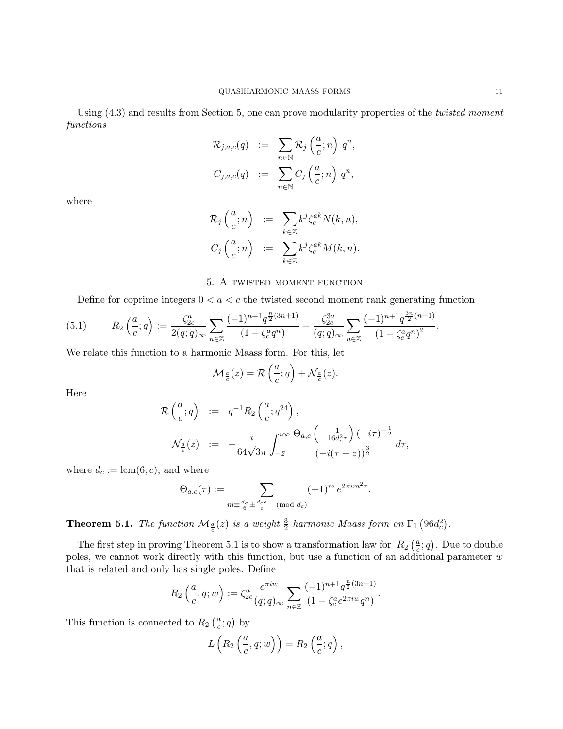Using  $(4.3)$  and results from Section 5, one can prove modularity properties of the *twisted moment* functions

$$
\mathcal{R}_{j,a,c}(q) := \sum_{n \in \mathbb{N}} \mathcal{R}_j \left( \frac{a}{c}; n \right) q^n,
$$
  

$$
C_{j,a,c}(q) := \sum_{n \in \mathbb{N}} C_j \left( \frac{a}{c}; n \right) q^n,
$$

where

$$
\mathcal{R}_j\left(\frac{a}{c};n\right) := \sum_{k\in\mathbb{Z}} k^j \zeta_c^{ak} N(k,n),
$$
  

$$
C_j\left(\frac{a}{c};n\right) := \sum_{k\in\mathbb{Z}} k^j \zeta_c^{ak} M(k,n).
$$

## 5. A twisted moment function

Define for coprime integers  $0 < a < c$  the twisted second moment rank generating function

$$
(5.1) \qquad R_2\left(\frac{a}{c};q\right) := \frac{\zeta_{2c}^a}{2(q;q)_{\infty}} \sum_{n\in\mathbb{Z}} \frac{(-1)^{n+1} q^{\frac{n}{2}(3n+1)}}{(1-\zeta_c^a q^n)} + \frac{\zeta_{2c}^{3a}}{(q;q)_{\infty}} \sum_{n\in\mathbb{Z}} \frac{(-1)^{n+1} q^{\frac{3n}{2}(n+1)}}{(1-\zeta_c^a q^n)^2}.
$$

We relate this function to a harmonic Maass form. For this, let

$$
\mathcal{M}_{\frac{a}{c}}(z) = \mathcal{R}\left(\frac{a}{c};q\right) + \mathcal{N}_{\frac{a}{c}}(z).
$$

Here

$$
\mathcal{R}\left(\frac{a}{c};q\right) := q^{-1}R_2\left(\frac{a}{c};q^{24}\right),
$$
  

$$
\mathcal{N}_{\frac{a}{c}}(z) := -\frac{i}{64\sqrt{3\pi}}\int_{-\bar{z}}^{i\infty} \frac{\Theta_{a,c}\left(-\frac{1}{16d_c^2\tau}\right)(-i\tau)^{-\frac{1}{2}}}{\left(-i(\tau+z)\right)^{\frac{3}{2}}}d\tau,
$$

where  $d_c := \text{lcm}(6, c)$ , and where

$$
\Theta_{a,c}(\tau) := \sum_{m \equiv \frac{d_c}{6} \pm \frac{d_c a}{c} \pmod{d_c}} (-1)^m e^{2\pi i m^2 \tau}.
$$

**Theorem 5.1.** The function  $\mathcal{M}_{\frac{a}{c}}(z)$  is a weight  $\frac{3}{2}$  harmonic Maass form on  $\Gamma_1$   $(96d_c^2)$ .

The first step in proving Theorem 5.1 is to show a transformation law for  $R_2\left(\frac{a}{c}\right)$  $\frac{a}{c}$ ; *q*). Due to double poles, we cannot work directly with this function, but use a function of an additional parameter w that is related and only has single poles. Define

$$
R_2\left(\frac{a}{c}, q; w\right) := \zeta_{2c}^a \frac{e^{\pi i w}}{(q; q)_{\infty}} \sum_{n \in \mathbb{Z}} \frac{(-1)^{n+1} q^{\frac{n}{2}(3n+1)}}{(1 - \zeta_c^a e^{2\pi i w} q^n)}.
$$

This function is connected to  $R_2\left(\frac{a}{c}\right)$  $\frac{a}{c}$ ; q) by

$$
L\left(R_2\left(\frac{a}{c}, q; w\right)\right) = R_2\left(\frac{a}{c}; q\right),\,
$$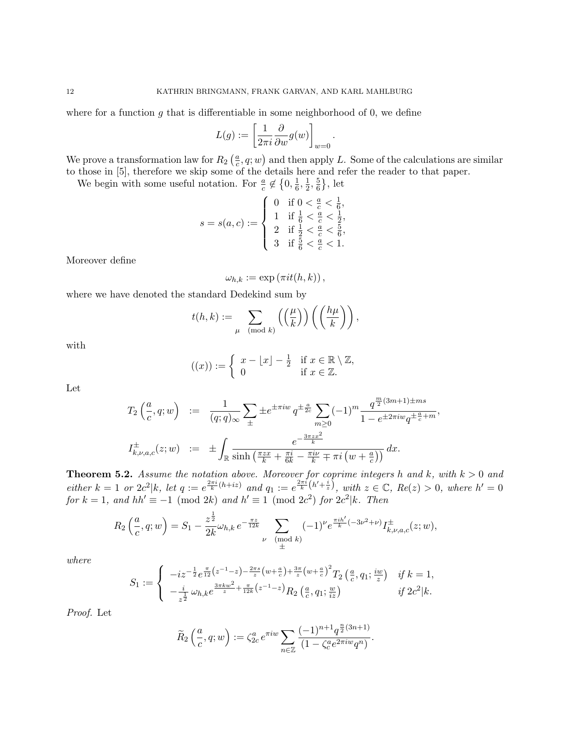where for a function g that is differentiable in some neighborhood of 0, we define

$$
L(g) := \left[\frac{1}{2\pi i} \frac{\partial}{\partial w} g(w)\right]_{w=0}.
$$

We prove a transformation law for  $R_2\left(\frac{a}{c}\right)$  $\frac{a}{c}, q; w$  and then apply L. Some of the calculations are similar to those in [5], therefore we skip some of the details here and refer the reader to that paper.

We begin with some useful notation. For  $\frac{a}{c} \notin \left\{0, \frac{1}{6}\right\}$  $\frac{1}{6}, \frac{1}{2}$  $\frac{1}{2}, \frac{5}{6}$  $\frac{5}{6}\},$  let

$$
s = s(a, c) := \left\{ \begin{array}{ll} 0 & \text{if } 0 < \frac{a}{c} < \frac{1}{6}, \\ 1 & \text{if } \frac{1}{6} < \frac{a}{c} < \frac{1}{2}, \\ 2 & \text{if } \frac{1}{2} < \frac{a}{c} < \frac{5}{6}, \\ 3 & \text{if } \frac{5}{6} < \frac{a}{c} < 1. \end{array} \right.
$$

Moreover define

 $\omega_{h,k} := \exp(\pi i t(h,k)),$ 

where we have denoted the standard Dedekind sum by

$$
t(h,k) := \sum_{\mu \pmod{k}} \left( \left( \frac{\mu}{k} \right) \right) \left( \left( \frac{h\mu}{k} \right) \right),
$$

with

$$
((x)) := \begin{cases} x - \lfloor x \rfloor - \frac{1}{2} & \text{if } x \in \mathbb{R} \setminus \mathbb{Z}, \\ 0 & \text{if } x \in \mathbb{Z}. \end{cases}
$$

Let

$$
T_2\left(\frac{a}{c}, q; w\right) := \frac{1}{(q; q)_{\infty}} \sum_{\pm} \pm e^{\pm \pi i w} q^{\pm \frac{a}{2c}} \sum_{m \ge 0} (-1)^m \frac{q^{\frac{m}{2}(3m+1)\pm ms}}{1 - e^{\pm 2\pi i w} q^{\pm \frac{a}{c} + m}},
$$
  

$$
I_{k, \nu, a, c}^{\pm}(z; w) := \pm \int_{\mathbb{R}} \frac{e^{-\frac{3\pi z x^2}{k}}}{\sinh\left(\frac{\pi z x}{k} + \frac{\pi i}{6k} - \frac{\pi i \nu}{k} \mp \pi i \left(w + \frac{a}{c}\right)\right)} dx.
$$

**Theorem 5.2.** Assume the notation above. Moreover for coprime integers h and k, with  $k > 0$  and either  $k = 1$  or  $2c^2 \mid k$ , let  $q := e^{\frac{2\pi i}{k}(h + iz)}$  and  $q_1 := e^{\frac{2\pi i}{k}(h' + \frac{i}{z})}$ , with  $z \in \mathbb{C}$ ,  $Re(z) > 0$ , where  $h' = 0$ for  $k = 1$ , and  $hh' \equiv -1 \pmod{2k}$  and  $h' \equiv 1 \pmod{2c^2}$  for  $2c^2|k$ . Then

$$
R_2\left(\frac{a}{c}, q; w\right) = S_1 - \frac{z^{\frac{1}{2}}}{2k}\omega_{h,k} e^{-\frac{\pi z}{12k}} \sum_{\substack{\nu \pmod{k} \\ \pm}} (-1)^{\nu} e^{\frac{\pi i h'}{k}(-3\nu^2 + \nu)} I_{k,\nu,a,c}^{\pm}(z; w),
$$

where

$$
S_1 := \begin{cases} \n-i z^{-\frac{1}{2}} e^{\frac{\pi}{12} \left( z^{-1} - z \right) - \frac{2\pi s}{z} \left( w + \frac{a}{c} \right) + \frac{3\pi}{z} \left( w + \frac{a}{c} \right)^2} T_2 \left( \frac{a}{c}, q_1; \frac{iw}{z} \right) & \text{if } k = 1, \\
-\frac{i}{z^{\frac{1}{2}}} \omega_{h,k} e^{\frac{3\pi k w^2}{z} + \frac{\pi}{12k} \left( z^{-1} - z \right)} R_2 \left( \frac{a}{c}, q_1; \frac{w}{iz} \right) & \text{if } 2c^2 | k.\n\end{cases}
$$

Proof. Let

$$
\widetilde{R}_2\left(\frac{a}{c}, q; w\right) := \zeta_{2c}^a e^{\pi i w} \sum_{n \in \mathbb{Z}} \frac{(-1)^{n+1} q^{\frac{n}{2}(3n+1)}}{(1 - \zeta_c^a e^{2\pi i w} q^n)}.
$$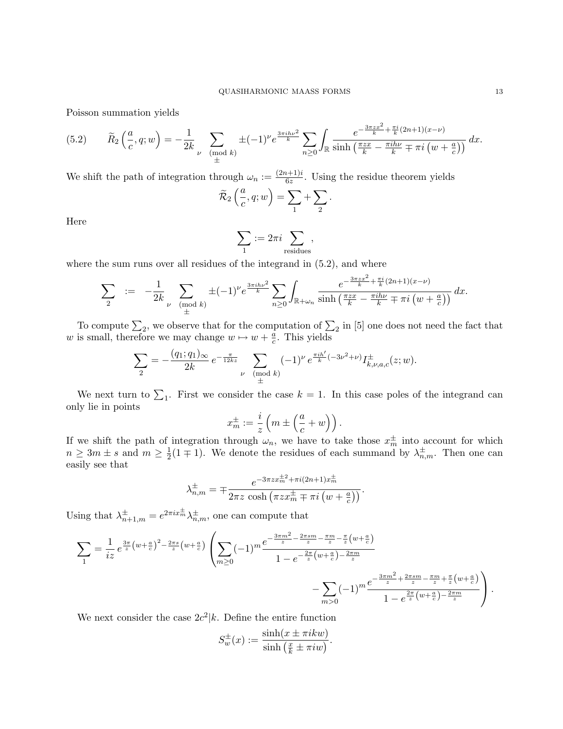Poisson summation yields

$$
(5.2) \qquad \widetilde{R}_2\left(\frac{a}{c}, q; w\right) = -\frac{1}{2k} \sum_{\nu \pmod{k}} \pm (-1)^{\nu} e^{\frac{3\pi i h \nu^2}{k}} \sum_{n \geq 0} \int_{\mathbb{R}} \frac{e^{-\frac{3\pi z x^2}{k} + \frac{\pi i}{k}(2n+1)(x-\nu)}}{\sinh\left(\frac{\pi z x}{k} - \frac{\pi i h \nu}{k} \mp \pi i \left(w + \frac{a}{c}\right)\right)} dx.
$$

We shift the path of integration through  $\omega_n := \frac{(2n+1)i}{6z}$  $\frac{b+1}{6z}$ . Using the residue theorem yields

$$
\widetilde{\mathcal{R}}_2\left(\frac{a}{c}, q; w\right) = \sum_1 + \sum_2.
$$

Here

$$
\sum_1 := 2\pi i \sum_{\text{residues}},
$$

where the sum runs over all residues of the integrand in  $(5.2)$ , and where

$$
\sum_{2} := -\frac{1}{2k} \sum_{\substack{\nu \pmod{k}}{d}} \pm (-1)^{\nu} e^{\frac{3\pi i h\nu^{2}}{k}} \sum_{n \geq 0} \int_{\mathbb{R}+\omega_{n}} \frac{e^{-\frac{3\pi z x^{2}}{k} + \frac{\pi i}{k}(2n+1)(x-\nu)}}{\sinh\left(\frac{\pi zx}{k} - \frac{\pi i h\nu}{k} \mp \pi i\left(w + \frac{a}{c}\right)\right)} dx.
$$

To compute  $\Sigma_2$ , we observe that for the computation of  $\Sigma_2$  in [5] one does not need the fact that w is small, therefore we may change  $w \mapsto w + \frac{a}{c}$  $\frac{a}{c}$ . This yields

$$
\sum_{2} = -\frac{(q_1; q_1)_{\infty}}{2k} e^{-\frac{\pi}{12kz}} \sum_{\substack{\nu \pmod{k}} (\text{mod } k)}} (-1)^{\nu} e^{\frac{\pi i h'}{k}(-3\nu^2 + \nu)} I_{k, \nu, a, c}^{\pm}(z; w).
$$

We next turn to  $\Sigma_1$ . First we consider the case  $k = 1$ . In this case poles of the integrand can only lie in points

$$
x_m^{\pm} := \frac{i}{z} \left( m \pm \left( \frac{a}{c} + w \right) \right).
$$

If we shift the path of integration through  $\omega_n$ , we have to take those  $x_m^{\pm}$  into account for which  $n \geq 3m \pm s$  and  $m \geq \frac{1}{2}$  $\frac{1}{2}(1 \mp 1)$ . We denote the residues of each summand by  $\lambda_{n,m}^{\pm}$ . Then one can easily see that

$$
\lambda_{n,m}^{\pm} = \mp \frac{e^{-3\pi zx_m^{\pm 2} + \pi i(2n+1)x_m^{\pm}}}{2\pi z \cosh\left(\pi zx_m^{\pm} \mp \pi i\left(w + \frac{a}{c}\right)\right)}.
$$

Using that  $\lambda_{n+1,m}^{\pm} = e^{2\pi i x_m^{\pm}} \lambda_{n,m}^{\pm}$ , one can compute that

$$
\sum_{1} = \frac{1}{iz} e^{\frac{3\pi}{z} \left(w + \frac{a}{c}\right)^2 - \frac{2\pi s}{z} \left(w + \frac{a}{c}\right)} \left(\sum_{m \ge 0} (-1)^m \frac{e^{-\frac{3\pi m^2}{z} - \frac{2\pi s m}{z} - \frac{\pi m}{z} - \frac{\pi}{z} \left(w + \frac{a}{c}\right)}}{1 - e^{-\frac{2\pi}{z} \left(w + \frac{a}{c}\right) - \frac{2\pi m}{z}}} - \sum_{m > 0} (-1)^m \frac{e^{-\frac{3\pi m^2}{z} + \frac{2\pi s m}{z} - \frac{\pi m}{z} + \frac{\pi}{z} \left(w + \frac{a}{c}\right)}}{1 - e^{\frac{2\pi}{z} \left(w + \frac{a}{c}\right) - \frac{2\pi m}{z}}}\right).
$$

We next consider the case  $2c^2|k$ . Define the entire function

$$
S_w^{\pm}(x) := \frac{\sinh(x \pm \pi i k w)}{\sinh(\frac{x}{k} \pm \pi i w)}.
$$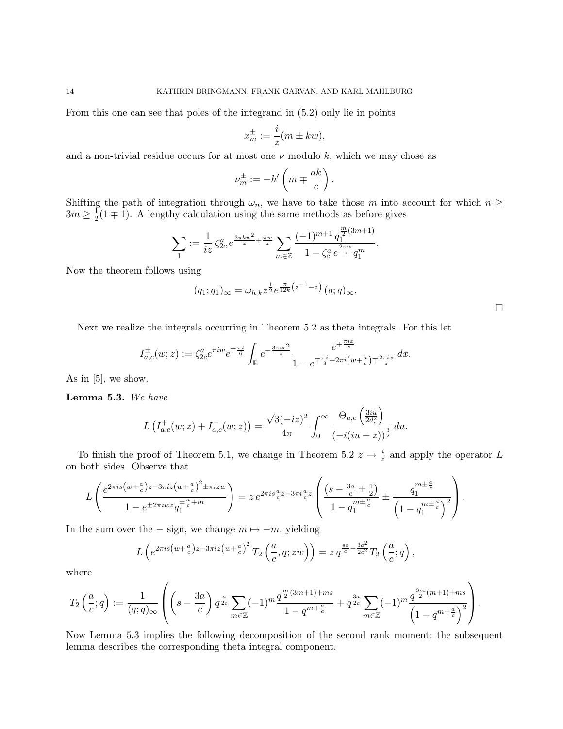From this one can see that poles of the integrand in (5.2) only lie in points

$$
x_m^{\pm} := \frac{i}{z}(m \pm kw),
$$

and a non-trivial residue occurs for at most one  $\nu$  modulo k, which we may chose as

$$
\nu_m^{\pm} := -h'\left(m \mp \frac{ak}{c}\right).
$$

Shifting the path of integration through  $\omega_n$ , we have to take those m into account for which  $n \geq$  $3m \geq \frac{1}{2}$  $\frac{1}{2}(1 \mp 1)$ . A lengthy calculation using the same methods as before gives

$$
\sum_1 := \frac{1}{iz} \zeta_{2c}^a e^{\frac{3\pi k w^2}{z} + \frac{\pi w}{z}} \sum_{m \in \mathbb{Z}} \frac{(-1)^{m+1} q_1^{\frac{m}{2}(3m+1)}}{1 - \zeta_c^a e^{\frac{2\pi w}{z}} q_1^m}.
$$

Now the theorem follows using

$$
(q_1;q_1)_{\infty} = \omega_{h,k} z^{\frac{1}{2}} e^{\frac{\pi}{12k} (z^{-1} - z)} (q;q)_{\infty}.
$$

Next we realize the integrals occurring in Theorem 5.2 as theta integrals. For this let

 $\Box$ 

$$
I_{a,c}^{\pm}(w;z) := \zeta_{2c}^{a} e^{\pi i w} e^{\mp \frac{\pi i}{6}} \int_{\mathbb{R}} e^{-\frac{3\pi i x^2}{z}} \frac{e^{\mp \frac{\pi i x}{z}}}{1 - e^{\mp \frac{\pi i}{3} + 2\pi i (w + \frac{a}{c}) \mp \frac{2\pi i x}{z}}} dx.
$$

As in  $[5]$ , we show.

Lemma 5.3. We have

$$
L\left(I_{a,c}^+(w;z) + I_{a,c}^-(w;z)\right) = \frac{\sqrt{3}(-iz)^2}{4\pi} \int_0^\infty \frac{\Theta_{a,c}\left(\frac{3iu}{2d_c^2}\right)}{\left(-i(iu+z)\right)^{\frac{3}{2}}} du.
$$

To finish the proof of Theorem 5.1, we change in Theorem 5.2  $z \mapsto \frac{i}{z}$  and apply the operator L on both sides. Observe that

$$
L\left(\frac{e^{2\pi i s \left(w+\frac{a}{c}\right)z-3\pi i z \left(w+\frac{a}{c}\right)^{2} \pm \pi i z w}}{1-e^{\pm 2\pi i w z}q_{1}^{\pm \frac{a}{c}+m}}\right) = z e^{2\pi i s \frac{a}{c}z-3\pi i \frac{a}{c}z} \left(\frac{\left(s-\frac{3a}{c}\pm\frac{1}{2}\right)}{1-q_{1}^{m\pm \frac{a}{c}}}\pm \frac{q_{1}^{m\pm \frac{a}{c}}}{\left(1-q_{1}^{m\pm \frac{a}{c}}\right)^{2}}\right).
$$

In the sum over the  $-$  sign, we change  $m \mapsto -m$ , yielding

$$
L\left(e^{2\pi i s\left(w+\frac{a}{c}\right)z-3\pi i z\left(w+\frac{a}{c}\right)^2}T_2\left(\frac{a}{c}, q; zw\right)\right) = z q^{\frac{sa}{c}-\frac{3a^2}{2c^2}}T_2\left(\frac{a}{c};q\right),
$$

where

$$
T_2\left(\frac{a}{c};q\right) := \frac{1}{(q;q)_{\infty}} \left( \left(s - \frac{3a}{c}\right) q^{\frac{a}{2c}} \sum_{m \in \mathbb{Z}} (-1)^m \frac{q^{\frac{m}{2}(3m+1) + ms}}{1 - q^{m + \frac{a}{c}}} + q^{\frac{3a}{2c}} \sum_{m \in \mathbb{Z}} (-1)^m \frac{q^{\frac{3m}{2}(m+1) + ms}}{\left(1 - q^{m + \frac{a}{c}}\right)^2} \right).
$$

Now Lemma 5.3 implies the following decomposition of the second rank moment; the subsequent lemma describes the corresponding theta integral component.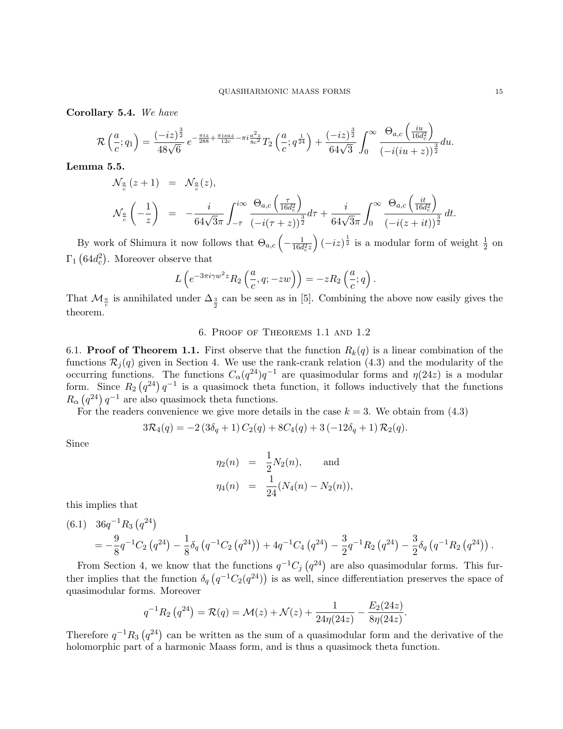Corollary 5.4. We have

$$
\mathcal{R}\left(\frac{a}{c};q_1\right) = \frac{(-iz)^{\frac{3}{2}}}{48\sqrt{6}} e^{-\frac{\pi iz}{288} + \frac{\pi isaz}{12c} - \pi i \frac{a^2 z}{8c^2}} T_2\left(\frac{a}{c};q^{\frac{1}{24}}\right) + \frac{(-iz)^{\frac{3}{2}}}{64\sqrt{3}} \int_0^\infty \frac{\Theta_{a,c}\left(\frac{iu}{16d_c^2}\right)}{\left(-i(iu+z)\right)^{\frac{3}{2}}} du.
$$

Lemma 5.5.

$$
\mathcal{N}_{\frac{a}{c}}(z+1) = \mathcal{N}_{\frac{a}{c}}(z),
$$
\n
$$
\mathcal{N}_{\frac{a}{c}}\left(-\frac{1}{z}\right) = -\frac{i}{64\sqrt{3}\pi} \int_{-\overline{\tau}}^{i\infty} \frac{\Theta_{a,c}\left(\frac{\tau}{16d_c^2}\right)}{(-i(\tau+z))^{\frac{3}{2}}} d\tau + \frac{i}{64\sqrt{3}\pi} \int_{0}^{\infty} \frac{\Theta_{a,c}\left(\frac{it}{16d_c^2}\right)}{(-i(z+it))^{\frac{3}{2}}} dt.
$$

By work of Shimura it now follows that  $\Theta_{a,c}$   $\left(-\frac{1}{16d}\right)$  $\frac{1}{16d_c^2z}\Big) (-iz)^{\frac{1}{2}}$  is a modular form of weight  $\frac{1}{2}$  on  $\Gamma_1$  (64 $d_c^2$ ). Moreover observe that

$$
L\left(e^{-3\pi i \gamma w^2 z} R_2\left(\frac{a}{c}, q; -zw\right)\right) = -z R_2\left(\frac{a}{c}; q\right).
$$

That  $\mathcal{M}_{\frac{a}{c}}$  is annihilated under  $\Delta_{\frac{3}{2}}$  can be seen as in [5]. Combining the above now easily gives the theorem.

## 6. Proof of Theorems 1.1 and 1.2

6.1. **Proof of Theorem 1.1.** First observe that the function  $R_k(q)$  is a linear combination of the functions  $\mathcal{R}_j(q)$  given in Section 4. We use the rank-crank relation (4.3) and the modularity of the occurring functions. The functions  $C_{\alpha}(q^{24})q^{-1}$  are quasimodular forms and  $\eta(24z)$  is a modular form. Since  $R_2(q^{24})q^{-1}$  is a quasimock theta function, it follows inductively that the functions  $R_{\alpha}$   $(q^{24})$   $q^{-1}$  are also quasimock theta functions.

For the readers convenience we give more details in the case  $k = 3$ . We obtain from  $(4.3)$ 

$$
3\mathcal{R}_4(q) = -2(3\delta_q + 1)C_2(q) + 8C_4(q) + 3(-12\delta_q + 1)\mathcal{R}_2(q).
$$

Since

$$
\eta_2(n) = \frac{1}{2} N_2(n), \text{ and}
$$
  

$$
\eta_4(n) = \frac{1}{24} (N_4(n) - N_2(n)),
$$

this implies that

(6.1) 
$$
36q^{-1}R_3(q^{24}) = -\frac{9}{8}q^{-1}C_2(q^{24}) - \frac{1}{8}\delta_q(q^{-1}C_2(q^{24})) + 4q^{-1}C_4(q^{24}) - \frac{3}{2}q^{-1}R_2(q^{24}) - \frac{3}{2}\delta_q(q^{-1}R_2(q^{24}))
$$

From Section 4, we know that the functions  $q^{-1}C_j(q^{24})$  are also quasimodular forms. This further implies that the function  $\delta_q(q^{-1}C_2(q^{24}))$  is as well, since differentiation preserves the space of quasimodular forms. Moreover

$$
q^{-1}R_2(q^{24}) = \mathcal{R}(q) = \mathcal{M}(z) + \mathcal{N}(z) + \frac{1}{24\eta(24z)} - \frac{E_2(24z)}{8\eta(24z)}.
$$

Therefore  $q^{-1}R_3(q^{24})$  can be written as the sum of a quasimodular form and the derivative of the holomorphic part of a harmonic Maass form, and is thus a quasimock theta function.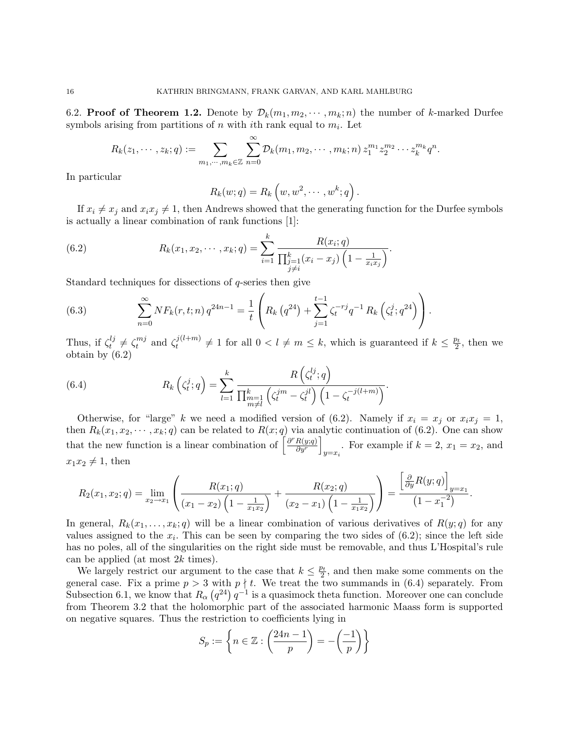6.2. **Proof of Theorem 1.2.** Denote by  $\mathcal{D}_k(m_1, m_2, \dots, m_k; n)$  the number of k-marked Durfee symbols arising from partitions of  $n$  with *i*th rank equal to  $m_i$ . Let

$$
R_k(z_1,\dots, z_k;q) := \sum_{m_1,\dots, m_k \in \mathbb{Z}} \sum_{n=0}^{\infty} \mathcal{D}_k(m_1, m_2, \dots, m_k;n) z_1^{m_1} z_2^{m_2} \dots z_k^{m_k} q^n.
$$

In particular

$$
R_k(w;q) = R_k(w,w^2,\cdots,w^k;q).
$$

If  $x_i \neq x_j$  and  $x_i x_j \neq 1$ , then Andrews showed that the generating function for the Durfee symbols is actually a linear combination of rank functions [1]:

(6.2) 
$$
R_k(x_1, x_2, \cdots, x_k; q) = \sum_{i=1}^k \frac{R(x_i; q)}{\prod_{\substack{j=1 \ j \neq i}}^k (x_i - x_j) \left(1 - \frac{1}{x_i x_j}\right)}.
$$

Standard techniques for dissections of q-series then give

(6.3) 
$$
\sum_{n=0}^{\infty} N F_k(r, t; n) q^{24n-1} = \frac{1}{t} \left( R_k (q^{24}) + \sum_{j=1}^{t-1} \zeta_t^{-rj} q^{-1} R_k \left( \zeta_t^j; q^{24} \right) \right).
$$

Thus, if  $\zeta_t^{lj}$  $t^{lj}_t \neq \zeta_t^{mj}$  $t^{mj}$  and  $\zeta_t^{j(l+m)}$  $t^{j(l+m)} \neq 1$  for all  $0 < l \neq m \leq k$ , which is guaranteed if  $k \leq \frac{p_t}{2}$  $\frac{p_t}{2}$ , then we obtain by (6.2)

(6.4) 
$$
R_k\left(\zeta_t^j;q\right)=\sum_{l=1}^k\frac{R\left(\zeta_t^{lj};q\right)}{\prod_{\substack{m=1\\m\neq l}}^k\left(\zeta_t^{jm}-\zeta_t^{jl}\right)\left(1-\zeta_t^{-j(l+m)}\right)}.
$$

Otherwise, for "large" k we need a modified version of (6.2). Namely if  $x_i = x_j$  or  $x_i x_j = 1$ , then  $R_k(x_1, x_2, \dots, x_k; q)$  can be related to  $R(x; q)$  via analytic continuation of (6.2). One can show that the new function is a linear combination of  $\left[\frac{\partial^r R(y;q)}{\partial y^r}\right]$  $rac{R(y;q)}{\partial y^r}$ For example if  $k = 2$ ,  $x_1 = x_2$ , and  $x_1x_2 \neq 1$ , then

$$
R_2(x_1,x_2;q)=\lim_{x_2\to x_1}\left(\frac{R(x_1;q)}{(x_1-x_2)\left(1-\frac{1}{x_1x_2}\right)}+\frac{R(x_2;q)}{(x_2-x_1)\left(1-\frac{1}{x_1x_2}\right)}\right)=\frac{\left[\frac{\partial}{\partial y}R(y;q)\right]_{y=x_1}}{\left(1-x_1^{-2}\right)}.
$$

In general,  $R_k(x_1, \ldots, x_k; q)$  will be a linear combination of various derivatives of  $R(y; q)$  for any values assigned to the  $x_i$ . This can be seen by comparing the two sides of  $(6.2)$ ; since the left side has no poles, all of the singularities on the right side must be removable, and thus L'Hospital's rule can be applied (at most  $2k$  times).

We largely restrict our argument to the case that  $k \leq \frac{pt}{2}$  $\frac{\partial^2 t}{\partial x^2}$ , and then make some comments on the general case. Fix a prime  $p > 3$  with  $p \nmid t$ . We treat the two summands in (6.4) separately. From Subsection 6.1, we know that  $R_{\alpha}(q^{24}) q^{-1}$  is a quasimock theta function. Moreover one can conclude from Theorem 3.2 that the holomorphic part of the associated harmonic Maass form is supported on negative squares. Thus the restriction to coefficients lying in

$$
S_p := \left\{ n \in \mathbb{Z} : \left( \frac{24n - 1}{p} \right) = -\left( \frac{-1}{p} \right) \right\}
$$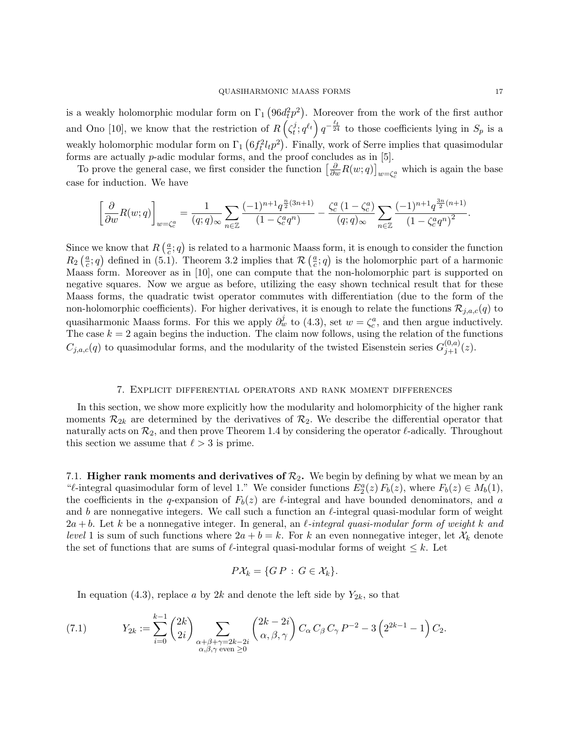is a weakly holomorphic modular form on  $\Gamma_1(96d_t^2p^2)$ . Moreover from the work of the first author and Ono [10], we know that the restriction of  $R\left(\zeta_t^j\right)$  $(t_i^j; q^{\ell_t}) q^{-\frac{\ell_t}{24}}$  to those coefficients lying in  $S_p$  is a weakly holomorphic modular form on  $\Gamma_1$   $(6f_t^2 l_t p^2)$ . Finally, work of Serre implies that quasimodular forms are actually p-adic modular forms, and the proof concludes as in [5].

To prove the general case, we first consider the function  $\left[\frac{\partial}{\partial w}R(w;q)\right]_{w=\zeta_c^a}$  which is again the base case for induction. We have

$$
\left[\frac{\partial}{\partial w}R(w;q)\right]_{w=\zeta_c^a} = \frac{1}{(q;q)_{\infty}}\sum_{n\in\mathbb{Z}}\frac{(-1)^{n+1}q^{\frac{n}{2}(3n+1)}}{(1-\zeta_c^a q^n)} - \frac{\zeta_c^a(1-\zeta_c^a)}{(q;q)_{\infty}}\sum_{n\in\mathbb{Z}}\frac{(-1)^{n+1}q^{\frac{3n}{2}(n+1)}}{(1-\zeta_c^a q^n)^2}.
$$

Since we know that  $R\left(\frac{a}{c}\right)$  $\frac{a}{c}$ ; q) is related to a harmonic Maass form, it is enough to consider the function  $R_2\left(\frac{a}{c}\right)$  $(\frac{a}{c}; q)$  defined in (5.1). Theorem 3.2 implies that  $\mathcal{R}(\frac{a}{c})$  $(\frac{a}{c}; q)$  is the holomorphic part of a harmonic Maass form. Moreover as in [10], one can compute that the non-holomorphic part is supported on negative squares. Now we argue as before, utilizing the easy shown technical result that for these Maass forms, the quadratic twist operator commutes with differentiation (due to the form of the non-holomorphic coefficients). For higher derivatives, it is enough to relate the functions  $\mathcal{R}_{j,a,c}(q)$  to quasiharmonic Maass forms. For this we apply  $\partial_w^j$  to (4.3), set  $w = \zeta_c^a$ , and then argue inductively. The case  $k = 2$  again begins the induction. The claim now follows, using the relation of the functions  $C_{j,a,c}(q)$  to quasimodular forms, and the modularity of the twisted Eisenstein series  $G_{j+1}^{(0,a)}(z)$ .

# 7. Explicit differential operators and rank moment differences

In this section, we show more explicitly how the modularity and holomorphicity of the higher rank moments  $\mathcal{R}_{2k}$  are determined by the derivatives of  $\mathcal{R}_2$ . We describe the differential operator that naturally acts on  $\mathcal{R}_2$ , and then prove Theorem 1.4 by considering the operator  $\ell$ -adically. Throughout this section we assume that  $\ell > 3$  is prime.

7.1. Higher rank moments and derivatives of  $\mathcal{R}_2$ . We begin by defining by what we mean by an " $\ell$ -integral quasimodular form of level 1." We consider functions  $E_2^a(z) F_b(z)$ , where  $F_b(z) \in M_b(1)$ , the coefficients in the q-expansion of  $F_b(z)$  are  $\ell$ -integral and have bounded denominators, and a and b are nonnegative integers. We call such a function an  $\ell$ -integral quasi-modular form of weight  $2a + b$ . Let k be a nonnegative integer. In general, an *l*-integral quasi-modular form of weight k and level 1 is sum of such functions where  $2a + b = k$ . For k an even nonnegative integer, let  $\mathcal{X}_k$  denote the set of functions that are sums of  $\ell$ -integral quasi-modular forms of weight  $\leq k$ . Let

$$
P\mathcal{X}_k = \{GP : G \in \mathcal{X}_k\}.
$$

In equation (4.3), replace a by 2k and denote the left side by  $Y_{2k}$ , so that

(7.1) 
$$
Y_{2k} := \sum_{i=0}^{k-1} {2k \choose 2i} \sum_{\substack{\alpha+\beta+\gamma=2k-2i \\ \alpha,\beta,\gamma \text{ even } \ge 0}} {2k-2i \choose \alpha,\beta,\gamma} C_{\alpha} C_{\beta} C_{\gamma} P^{-2} - 3 \left( 2^{2k-1} - 1 \right) C_2.
$$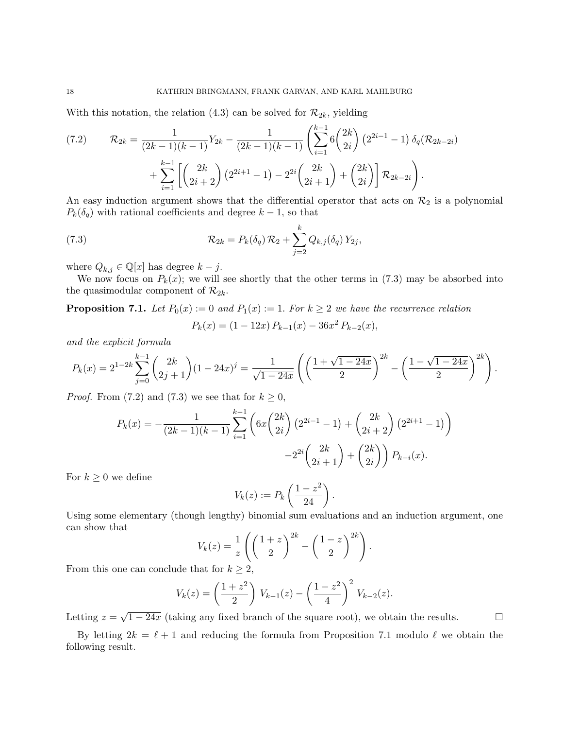With this notation, the relation (4.3) can be solved for  $\mathcal{R}_{2k}$ , yielding

$$
(7.2) \qquad \mathcal{R}_{2k} = \frac{1}{(2k-1)(k-1)} Y_{2k} - \frac{1}{(2k-1)(k-1)} \left( \sum_{i=1}^{k-1} 6 \binom{2k}{2i} \left( 2^{2i-1} - 1 \right) \delta_q(\mathcal{R}_{2k-2i}) + \sum_{i=1}^{k-1} \left[ \binom{2k}{2i+2} \left( 2^{2i+1} - 1 \right) - 2^{2i} \binom{2k}{2i+1} + \binom{2k}{2i} \right] \mathcal{R}_{2k-2i} \right).
$$

An easy induction argument shows that the differential operator that acts on  $\mathcal{R}_2$  is a polynomial  $P_k(\delta_q)$  with rational coefficients and degree  $k-1$ , so that

(7.3) 
$$
\mathcal{R}_{2k} = P_k(\delta_q) \, \mathcal{R}_2 + \sum_{j=2}^k Q_{k,j}(\delta_q) \, Y_{2j},
$$

where  $Q_{k,j} \in \mathbb{Q}[x]$  has degree  $k - j$ .

We now focus on  $P_k(x)$ ; we will see shortly that the other terms in (7.3) may be absorbed into the quasimodular component of  $\mathcal{R}_{2k}$ .

**Proposition 7.1.** Let  $P_0(x) := 0$  and  $P_1(x) := 1$ . For  $k \geq 2$  we have the recurrence relation  $P_k(x) = (1 - 12x) P_{k-1}(x) - 36x^2 P_{k-2}(x),$ 

and the explicit formula

$$
P_k(x) = 2^{1-2k} \sum_{j=0}^{k-1} {2k \choose 2j+1} (1-24x)^j = \frac{1}{\sqrt{1-24x}} \left( \left(\frac{1+\sqrt{1-24x}}{2}\right)^{2k} - \left(\frac{1-\sqrt{1-24x}}{2}\right)^{2k} \right).
$$

*Proof.* From (7.2) and (7.3) we see that for  $k \geq 0$ ,

$$
P_k(x) = -\frac{1}{(2k-1)(k-1)} \sum_{i=1}^{k-1} \left( 6x \binom{2k}{2i} \left( 2^{2i-1} - 1 \right) + \binom{2k}{2i+2} \left( 2^{2i+1} - 1 \right) \right) -2^{2i} \binom{2k}{2i+1} + \binom{2k}{2i} P_{k-i}(x).
$$

For  $k \geq 0$  we define

$$
V_k(z) := P_k\left(\frac{1-z^2}{24}\right).
$$

Using some elementary (though lengthy) binomial sum evaluations and an induction argument, one can show that

$$
V_k(z) = \frac{1}{z} \left( \left( \frac{1+z}{2} \right)^{2k} - \left( \frac{1-z}{2} \right)^{2k} \right).
$$

From this one can conclude that for  $k \geq 2$ ,

$$
V_k(z) = \left(\frac{1+z^2}{2}\right) V_{k-1}(z) - \left(\frac{1-z^2}{4}\right)^2 V_{k-2}(z).
$$

Letting  $z =$  $\sqrt{1-24x}$  (taking any fixed branch of the square root), we obtain the results.

By letting  $2k = \ell + 1$  and reducing the formula from Proposition 7.1 modulo  $\ell$  we obtain the following result.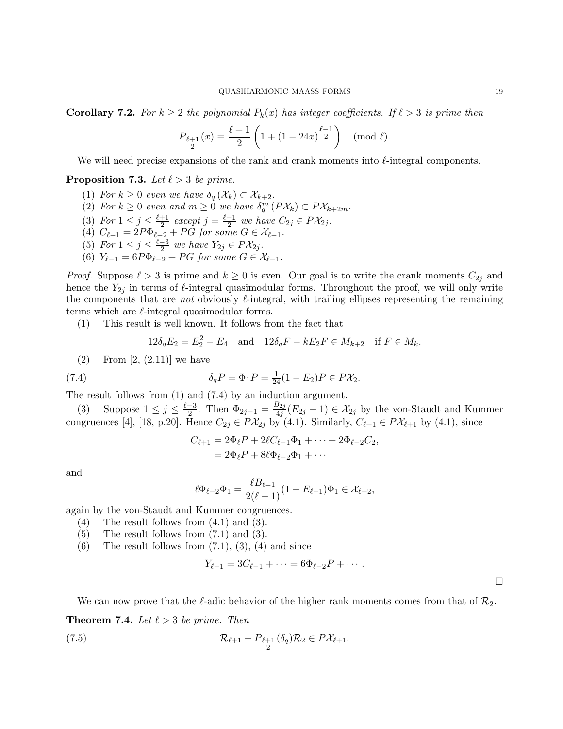**Corollary 7.2.** For  $k \geq 2$  the polynomial  $P_k(x)$  has integer coefficients. If  $\ell > 3$  is prime then

$$
P_{\frac{\ell+1}{2}}(x) \equiv \frac{\ell+1}{2} \left( 1 + (1 - 24x)^{\frac{\ell-1}{2}} \right) \pmod{\ell}.
$$

We will need precise expansions of the rank and crank moments into  $\ell$ -integral components.

**Proposition 7.3.** Let  $\ell > 3$  be prime.

- (1) For  $k \geq 0$  even we have  $\delta_q(\mathcal{X}_k) \subset \mathcal{X}_{k+2}$ .
- (2) For  $k \geq 0$  even and  $m \geq 0$  we have  $\delta_q^m(P\mathcal{X}_k) \subset P\mathcal{X}_{k+2m}$ . q
- (3) For  $1 \leq j \leq \frac{\ell+1}{2}$  $\frac{+1}{2}$  except  $j = \frac{\ell-1}{2}$  $\frac{-1}{2}$  we have  $C_{2j} \in P\mathcal{X}_{2j}$ .
- (4)  $C_{\ell-1} = 2P\Phi_{\ell-2} + PG$  for some  $G \in \mathcal{X}_{\ell-1}$ .
- (5) For  $1 \leq j \leq \frac{\ell-3}{2}$  $\frac{-3}{2}$  we have  $Y_{2j} \in P\mathcal{X}_{2j}$ .
- (6)  $Y_{\ell-1} = 6P\Phi_{\ell-2} + PG$  for some  $G \in \mathcal{X}_{\ell-1}$ .

*Proof.* Suppose  $\ell > 3$  is prime and  $k \geq 0$  is even. Our goal is to write the crank moments  $C_{2j}$  and hence the  $Y_{2j}$  in terms of  $\ell$ -integral quasimodular forms. Throughout the proof, we will only write the components that are not obviously  $\ell$ -integral, with trailing ellipses representing the remaining terms which are  $\ell$ -integral quasimodular forms.

(1) This result is well known. It follows from the fact that

$$
12\delta_q E_2 = E_2^2 - E_4
$$
 and  $12\delta_q F - kE_2 F \in M_{k+2}$  if  $F \in M_k$ .

 $(2)$  From  $[2, (2.11)]$  we have

(7.4) 
$$
\delta_q P = \Phi_1 P = \frac{1}{24} (1 - E_2) P \in P \mathcal{X}_2.
$$

The result follows from (1) and (7.4) by an induction argument.

(3) Suppose  $1 \leq j \leq \frac{\ell-3}{2}$  $\frac{-3}{2}$ . Then  $\Phi_{2j-1} = \frac{B_{2j}}{4j}$  $\frac{\partial^2 2j}{\partial^2 4j}(E_{2j}-1) \in \mathcal{X}_{2j}$  by the von-Staudt and Kummer congruences [4], [18, p.20]. Hence  $C_{2j} \in P\mathcal{X}_{2j}$  by (4.1). Similarly,  $C_{\ell+1} \in P\mathcal{X}_{\ell+1}$  by (4.1), since

$$
C_{\ell+1} = 2\Phi_{\ell}P + 2\ell C_{\ell-1}\Phi_1 + \dots + 2\Phi_{\ell-2}C_2,
$$
  
=  $2\Phi_{\ell}P + 8\ell\Phi_{\ell-2}\Phi_1 + \dots$ 

and

$$
\ell\Phi_{\ell-2}\Phi_1 = \frac{\ell B_{\ell-1}}{2(\ell-1)}(1 - E_{\ell-1})\Phi_1 \in \mathcal{X}_{\ell+2},
$$

 $\overline{I}$ 

again by the von-Staudt and Kummer congruences.

- $(4)$  The result follows from  $(4.1)$  and  $(3)$ .
- (5) The result follows from (7.1) and (3).
- $(6)$  The result follows from  $(7.1)$ ,  $(3)$ ,  $(4)$  and since

$$
Y_{\ell-1} = 3C_{\ell-1} + \cdots = 6\Phi_{\ell-2}P + \cdots.
$$

 $\Box$ 

We can now prove that the  $\ell$ -adic behavior of the higher rank moments comes from that of  $\mathcal{R}_2$ .

**Theorem 7.4.** Let  $\ell > 3$  be prime. Then

(7.5) 
$$
\mathcal{R}_{\ell+1} - P_{\frac{\ell+1}{2}}(\delta_q)\mathcal{R}_2 \in P\mathcal{X}_{\ell+1}.
$$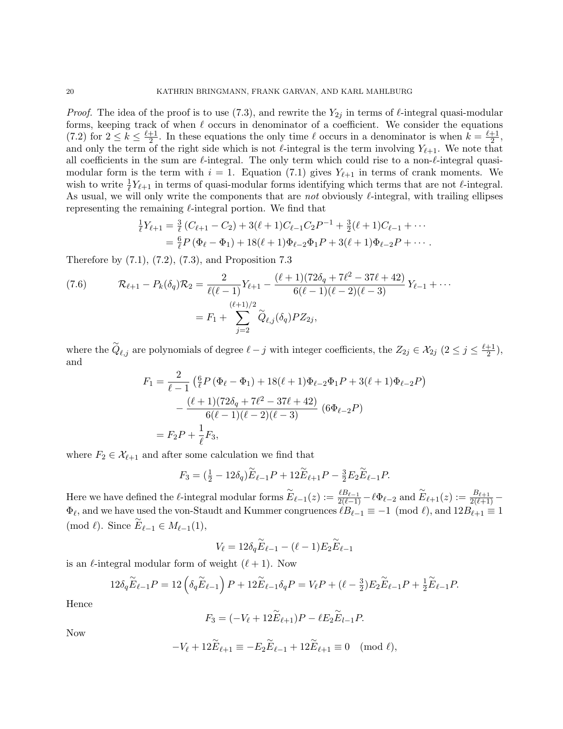*Proof.* The idea of the proof is to use (7.3), and rewrite the  $Y_{2i}$  in terms of  $\ell$ -integral quasi-modular forms, keeping track of when  $\ell$  occurs in denominator of a coefficient. We consider the equations  $(7.2)$  for  $2 \leq k \leq \frac{\ell+1}{2}$  $\frac{+1}{2}$ . In these equations the only time  $\ell$  occurs in a denominator is when  $k = \frac{\ell+1}{2}$  $\frac{+1}{2}$ , and only the term of the right side which is not  $\ell$ -integral is the term involving  $Y_{\ell+1}$ . We note that all coefficients in the sum are  $\ell$ -integral. The only term which could rise to a non- $\ell$ -integral quasimodular form is the term with  $i = 1$ . Equation (7.1) gives  $Y_{\ell+1}$  in terms of crank moments. We wish to write  $\frac{1}{\ell} Y_{\ell+1}$  in terms of quasi-modular forms identifying which terms that are not  $\ell$ -integral. As usual, we will only write the components that are not obviously  $\ell$ -integral, with trailing ellipses representing the remaining  $\ell$ -integral portion. We find that

$$
\frac{1}{\ell}Y_{\ell+1} = \frac{3}{\ell}(C_{\ell+1} - C_2) + 3(\ell+1)C_{\ell-1}C_2P^{-1} + \frac{3}{2}(\ell+1)C_{\ell-1} + \cdots
$$
  
=  $\frac{6}{\ell}P(\Phi_{\ell} - \Phi_1) + 18(\ell+1)\Phi_{\ell-2}\Phi_1P + 3(\ell+1)\Phi_{\ell-2}P + \cdots$ 

Therefore by (7.1), (7.2), (7.3), and Proposition 7.3

(7.6) 
$$
\mathcal{R}_{\ell+1} - P_k(\delta_q)\mathcal{R}_2 = \frac{2}{\ell(\ell-1)}Y_{\ell+1} - \frac{(\ell+1)(72\delta_q + 7\ell^2 - 37\ell + 42)}{6(\ell-1)(\ell-2)(\ell-3)}Y_{\ell-1} + \cdots
$$

$$
= F_1 + \sum_{j=2}^{(\ell+1)/2} \widetilde{Q}_{\ell,j}(\delta_q)PZ_{2j},
$$

where the  $\widetilde{Q}_{\ell,j}$  are polynomials of degree  $\ell-j$  with integer coefficients, the  $Z_{2j} \in \mathcal{X}_{2j}$   $(2 \le j \le \frac{\ell+1}{2})$  $\frac{+1}{2}$ ), and

$$
F_1 = \frac{2}{\ell - 1} \left( \frac{6}{\ell} P \left( \Phi_\ell - \Phi_1 \right) + 18(\ell + 1) \Phi_{\ell - 2} \Phi_1 P + 3(\ell + 1) \Phi_{\ell - 2} P \right)
$$

$$
- \frac{(\ell + 1)(72\delta_q + 7\ell^2 - 37\ell + 42)}{6(\ell - 1)(\ell - 2)(\ell - 3)} \left( 6\Phi_{\ell - 2} P \right)
$$

$$
= F_2 P + \frac{1}{\ell} F_3,
$$

where  $F_2 \in \mathcal{X}_{\ell+1}$  and after some calculation we find that

$$
F_3 = \left(\frac{1}{2} - 12\delta_q\right)\widetilde{E}_{\ell-1}P + 12\widetilde{E}_{\ell+1}P - \frac{3}{2}E_2\widetilde{E}_{\ell-1}P.
$$

Here we have defined the  $\ell$ -integral modular forms  $\widetilde{E}_{\ell-1}(z) := \frac{\ell B_{\ell-1}}{2(\ell-1)} - \ell \Phi_{\ell-2}$  and  $\widetilde{E}_{\ell+1}(z) := \frac{B_{\ell+1}}{2(\ell+1)} - \ell \Phi_{\ell-1}$  $\Phi_{\ell}$ , and we have used the von-Staudt and Kummer congruences  $\ell B_{\ell-1} \equiv -1 \pmod{\ell}$ , and  $12B_{\ell+1} \equiv 1$ (mod  $\ell$ ). Since  $\widetilde{E}_{\ell-1} \in M_{\ell-1}(1)$ ,

$$
V_{\ell} = 12\delta_q \widetilde{E}_{\ell-1} - (\ell - 1)E_2 \widetilde{E}_{\ell-1}
$$

is an  $\ell$ -integral modular form of weight  $(\ell + 1)$ . Now

$$
12\delta_q \widetilde{E}_{\ell-1}P = 12\left(\delta_q \widetilde{E}_{\ell-1}\right)P + 12\widetilde{E}_{\ell-1}\delta_q P = V_{\ell}P + (\ell - \frac{3}{2})E_2\widetilde{E}_{\ell-1}P + \frac{1}{2}\widetilde{E}_{\ell-1}P.
$$

Hence

$$
F_3 = (-V_{\ell} + 12\tilde{E}_{\ell+1})P - \ell E_2 \tilde{E}_{l-1}P.
$$

Now

$$
-V_{\ell} + 12\widetilde{E}_{\ell+1} \equiv -E_2 \widetilde{E}_{\ell-1} + 12\widetilde{E}_{\ell+1} \equiv 0 \pmod{\ell},
$$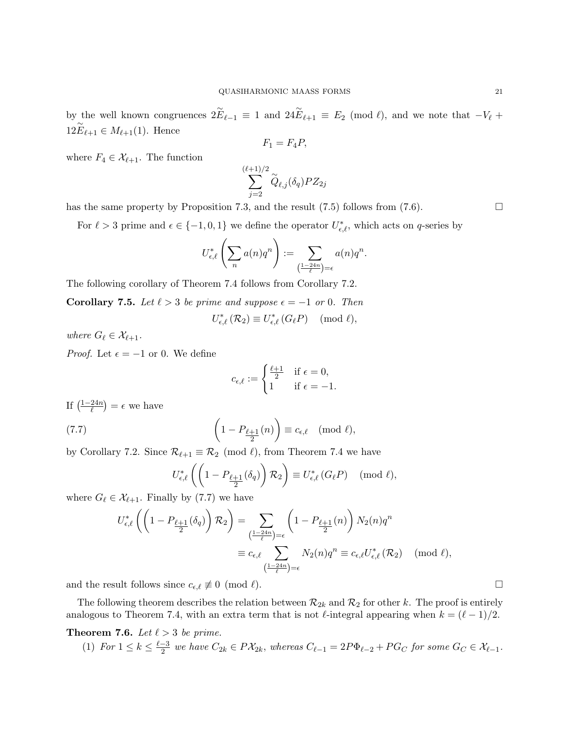by the well known congruences  $2\widetilde{E}_{\ell-1} \equiv 1$  and  $24\widetilde{E}_{\ell+1} \equiv E_2 \pmod{\ell}$ , and we note that  $-V_{\ell}$  +  $12E_{\ell+1} \in M_{\ell+1}(1)$ . Hence

$$
F_1 = F_4 P,
$$

where  $F_4 \in \mathcal{X}_{\ell+1}$ . The function

$$
\sum_{j=2}^{(\ell+1)/2} \widetilde{Q}_{\ell,j}(\delta_q) P Z_{2j}
$$

has the same property by Proposition 7.3, and the result  $(7.5)$  follows from  $(7.6)$ .

For  $\ell > 3$  prime and  $\epsilon \in \{-1, 0, 1\}$  we define the operator  $U_{\epsilon,\ell}^*$ , which acts on q-series by

$$
U_{\epsilon,\ell}^*\left(\sum_n a(n)q^n\right) := \sum_{\left(\frac{1-24n}{\ell}\right)=\epsilon} a(n)q^n.
$$

The following corollary of Theorem 7.4 follows from Corollary 7.2.

**Corollary 7.5.** Let  $\ell > 3$  be prime and suppose  $\epsilon = -1$  or 0. Then

$$
U_{\epsilon,\ell}^*(\mathcal{R}_2) \equiv U_{\epsilon,\ell}^*(G_{\ell}P) \pmod{\ell},
$$

where  $G_\ell \in \mathcal{X}_{\ell+1}$ .

*Proof.* Let  $\epsilon = -1$  or 0. We define

$$
c_{\epsilon,\ell} := \begin{cases} \frac{\ell+1}{2} & \text{if } \epsilon = 0, \\ 1 & \text{if } \epsilon = -1. \end{cases}
$$

If  $\left(\frac{1-24n}{\ell}\right)$  $\left(\frac{24n}{\ell}\right) = \epsilon$  we have

(7.7) 
$$
\left(1 - P_{\frac{\ell+1}{2}}(n)\right) \equiv c_{\epsilon,\ell} \pmod{\ell},
$$

by Corollary 7.2. Since  $\mathcal{R}_{\ell+1} \equiv \mathcal{R}_2 \pmod{\ell}$ , from Theorem 7.4 we have

$$
U_{\epsilon,\ell}^*\left(\left(1-P_{\frac{\ell+1}{2}}(\delta_q)\right)\mathcal{R}_2\right)\equiv U_{\epsilon,\ell}^*\left(G_{\ell}P\right) \pmod{\ell},
$$

where  $G_\ell \in \mathcal{X}_{\ell+1}$ . Finally by (7.7) we have

$$
U_{\epsilon,\ell}^*\left(\left(1-P_{\frac{\ell+1}{2}}(\delta_q)\right)\mathcal{R}_2\right) = \sum_{\substack{\left(1-24n\right)=\epsilon\\ \epsilon \in \ell}} \left(1-P_{\frac{\ell+1}{2}}(n)\right) N_2(n)q^n
$$

$$
\equiv c_{\epsilon,\ell} \sum_{\substack{\left(1-24n\right)=\epsilon\\ \epsilon \in \ell}} N_2(n)q^n \equiv c_{\epsilon,\ell} U_{\epsilon,\ell}^*\left(\mathcal{R}_2\right) \pmod{\ell},
$$

and the result follows since  $c_{\epsilon,\ell} \not\equiv 0 \pmod{\ell}$ .

The following theorem describes the relation between  $\mathcal{R}_{2k}$  and  $\mathcal{R}_2$  for other k. The proof is entirely analogous to Theorem 7.4, with an extra term that is not  $\ell$ -integral appearing when  $k = (\ell - 1)/2$ .

# **Theorem 7.6.** Let  $\ell > 3$  be prime.

(1) For  $1 \leq k \leq \frac{\ell-3}{2}$  $\frac{1}{2}$ <sup>2</sup> we have  $C_{2k} \in P\mathcal{X}_{2k}$ , whereas  $C_{\ell-1} = 2P\Phi_{\ell-2} + P G_C$  for some  $G_C \in \mathcal{X}_{\ell-1}$ .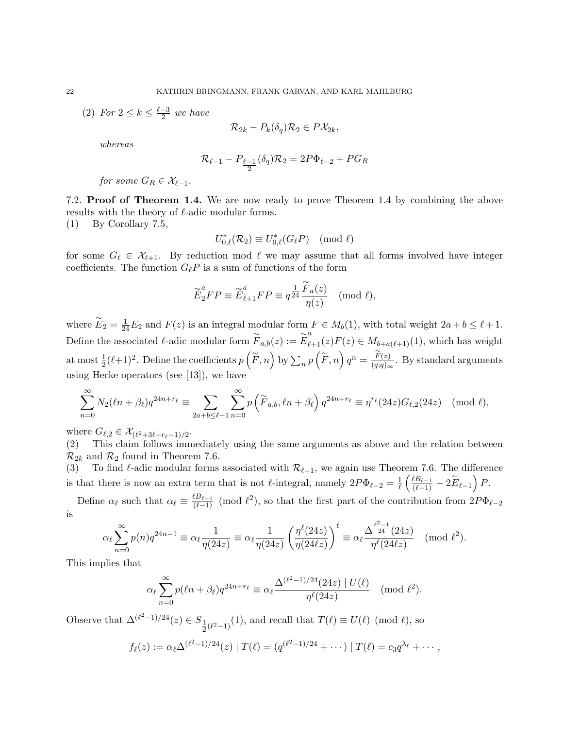(2) For  $2 \leq k \leq \frac{\ell-3}{2}$  $\frac{-3}{2}$  we have

$$
\mathcal{R}_{2k} - P_k(\delta_q)\mathcal{R}_2 \in P\mathcal{X}_{2k},
$$

whereas

$$
\mathcal{R}_{\ell-1} - P_{\underline{\ell-1}}(\delta_q)\mathcal{R}_2 = 2P\Phi_{\ell-2} + PG_R
$$

for some  $G_R \in \mathcal{X}_{\ell-1}$ .

7.2. Proof of Theorem 1.4. We are now ready to prove Theorem 1.4 by combining the above results with the theory of  $\ell$ -adic modular forms.

(1) By Corollary 7.5,

$$
U_{0,\ell}^*(\mathcal{R}_2) \equiv U_{0,\ell}^*(G_{\ell}P) \pmod{\ell}
$$

for some  $G_\ell \in \mathcal{X}_{\ell+1}$ . By reduction mod  $\ell$  we may assume that all forms involved have integer coefficients. The function  $G_{\ell}P$  is a sum of functions of the form

$$
\overset{\sim}{E}_2^a FP \equiv \overset{\sim}{E}_{\ell+1}^a FP \equiv q^{\tfrac{1}{24}} \frac{\overset{\sim}{F}_a(z)}{\eta(z)} \pmod{\ell},
$$

where  $\widetilde{E}_2 = \frac{1}{24}E_2$  and  $F(z)$  is an integral modular form  $F \in M_b(1)$ , with total weight  $2a + b \leq \ell + 1$ . Define the associated l-adic modular form  $\widetilde{F}_{a,b}(z) := \widetilde{E}_{\ell+1}^a(z) F(z) \in M_{b+a(\ell+1)}(1)$ , which has weight at most  $\frac{1}{2}(\ell+1)^2$ . Define the coefficients  $p\left(\widetilde{F},n\right)$  by  $\sum_n p\left(\widetilde{F},n\right) q^n = \frac{\widetilde{F}(z)}{(q;q)_\infty}$  $\frac{F(z)}{(q;q)_{\infty}}$ . By standard arguments using Hecke operators (see [13]), we have

$$
\sum_{n=0}^{\infty} N_2(\ell n + \beta_{\ell}) q^{24n + r_{\ell}} \equiv \sum_{2a+b \leq \ell+1} \sum_{n=0}^{\infty} p\left(\widetilde{F}_{a,b}, \ell n + \beta_{\ell}\right) q^{24n + r_{\ell}} \equiv \eta^{r_{\ell}}(24z) G_{\ell,2}(24z) \pmod{\ell},
$$

where  $G_{\ell,2} \in \mathcal{X}_{(\ell^2+3\ell-r_{\ell}-1)/2}$ .

(2) This claim follows immediately using the same arguments as above and the relation between  $\mathcal{R}_{2k}$  and  $\mathcal{R}_2$  found in Theorem 7.6.

(3) To find  $\ell$ -adic modular forms associated with  $\mathcal{R}_{\ell-1}$ , we again use Theorem 7.6. The difference is that there is now an extra term that is not  $\ell$ -integral, namely  $2P\Phi_{\ell-2} = \frac{1}{\ell}$  $\frac{1}{\ell}\left(\frac{\ell B_{\ell-1}}{(\ell-1)}-2\widetilde{E}_{\ell-1}\right)P.$ 

Define  $\alpha_{\ell}$  such that  $\alpha_{\ell} \equiv \frac{\ell B_{\ell-1}}{(\ell-1)} \pmod{\ell^2}$ , so that the first part of the contribution from  $2P\Phi_{\ell-2}$ is

$$
\alpha_{\ell} \sum_{n=0}^{\infty} p(n) q^{24n-1} \equiv \alpha_{\ell} \frac{1}{\eta(24z)} \equiv \alpha_{\ell} \frac{1}{\eta(24z)} \left( \frac{\eta^{\ell}(24z)}{\eta(24\ell z)} \right)^{\ell} \equiv \alpha_{\ell} \frac{\Delta^{\frac{\ell^2-1}{24}}(24z)}{\eta^{\ell}(24\ell z)} \pmod{\ell^2}.
$$

This implies that

$$
\alpha_{\ell} \sum_{n=0}^{\infty} p(\ell n + \beta_{\ell}) q^{24n+r_{\ell}} \equiv \alpha_{\ell} \frac{\Delta^{(\ell^2 - 1)/24}(24z) \mid U(\ell)}{\eta^{\ell}(24z)} \pmod{\ell^2}.
$$

Observe that  $\Delta^{(\ell^2-1)/24}(z) \in S_1$  $\frac{1}{2}(\ell^2-1)(1)$ , and recall that  $T(\ell) \equiv U(\ell) \pmod{\ell}$ , so

$$
f_{\ell}(z) := \alpha_{\ell} \Delta^{(\ell^2-1)/24}(z) | T(\ell) = (q^{(\ell^2-1)/24} + \cdots) | T(\ell) = c_3 q^{\lambda_{\ell}} + \cdots,
$$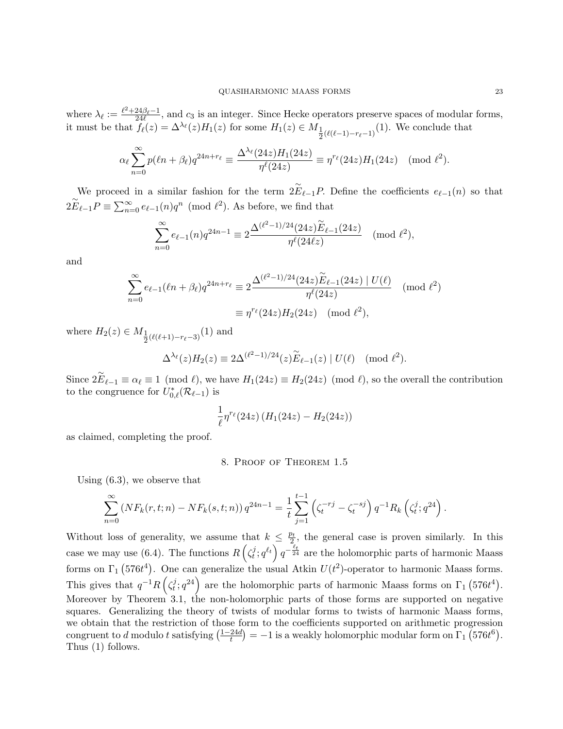where  $\lambda_{\ell} := \frac{\ell^2 + 24\beta_{\ell} - 1}{24\ell}$ , and  $c_3$  is an integer. Since Hecke operators preserve spaces of modular forms, it must be that  $f_{\ell}(z) = \Delta^{\lambda_{\ell}}(z)H_1(z)$  for some  $H_1(z) \in M_{\frac{1}{2}(\ell(\ell-1)-r_{\ell}-1)}(1)$ . We conclude that

$$
\alpha_{\ell} \sum_{n=0}^{\infty} p(\ell n + \beta_{\ell}) q^{24n+r_{\ell}} \equiv \frac{\Delta^{\lambda_{\ell}}(24z)H_1(24z)}{\eta^{\ell}(24z)} \equiv \eta^{r_{\ell}}(24z)H_1(24z) \pmod{\ell^2}.
$$

We proceed in a similar fashion for the term  $2E_{\ell-1}P$ . Define the coefficients  $e_{\ell-1}(n)$  so that  $2\widetilde{E}_{\ell-1}P \equiv \sum_{n=0}^{\infty} e_{\ell-1}(n)q^n \pmod{\ell^2}$ . As before, we find that

$$
\sum_{n=0}^{\infty} e_{\ell-1}(n) q^{24n-1} \equiv 2 \frac{\Delta^{(\ell^2-1)/24}(24z) \widetilde{E}_{\ell-1}(24z)}{\eta^{\ell}(24\ell z)} \pmod{\ell^2},
$$

and

$$
\sum_{n=0}^{\infty} e_{\ell-1}(\ell n + \beta_{\ell}) q^{24n+r_{\ell}} \equiv 2 \frac{\Delta^{(\ell^2 - 1)/24} (24z) \widetilde{E}_{\ell-1}(24z) \mid U(\ell)}{\eta^{\ell}(24z)} \pmod{\ell^2}
$$
  

$$
\equiv \eta^{r_{\ell}} (24z) H_2(24z) \pmod{\ell^2},
$$

where  $H_2(z) \in M_{\frac{1}{2}(\ell(\ell+1)-r_{\ell}-3)}(1)$  and

$$
\Delta^{\lambda_{\ell}}(z)H_2(z) \equiv 2\Delta^{(\ell^2-1)/24}(z)\widetilde{E}_{\ell-1}(z) | U(\ell) \pmod{\ell^2}.
$$

Since  $2\widetilde{E}_{\ell-1} \equiv \alpha_{\ell} \equiv 1 \pmod{\ell}$ , we have  $H_1(24z) \equiv H_2(24z) \pmod{\ell}$ , so the overall the contribution to the congruence for  $U_{0,\ell}^*(\mathcal{R}_{\ell-1})$  is

$$
\frac{1}{\ell}\eta^{r_{\ell}}(24z)\left(H_1(24z)-H_2(24z)\right)
$$

as claimed, completing the proof.

## 8. Proof of Theorem 1.5

Using (6.3), we observe that

$$
\sum_{n=0}^{\infty} (N F_k(r, t; n) - N F_k(s, t; n)) q^{24n-1} = \frac{1}{t} \sum_{j=1}^{t-1} \left( \zeta_t^{-rj} - \zeta_t^{-sj} \right) q^{-1} R_k \left( \zeta_t^j; q^{24} \right).
$$

Without loss of generality, we assume that  $k \leq \frac{p_t}{2}$  $\frac{\partial^2 t}{\partial z^2}$ , the general case is proven similarly. In this case we may use (6.4). The functions  $R\left(\zeta_t^j\right)$  $\left( \frac{d}{dt}, q^{\ell_t} \right) q^{-\frac{\ell_t}{24}}$  are the holomorphic parts of harmonic Maass forms on  $\Gamma_1$  (576t<sup>4</sup>). One can generalize the usual Atkin  $U(t^2)$ -operator to harmonic Maass forms. This gives that  $q^{-1}R\left(\zeta_t^j\right)$  $(t^j; q^{24})$  are the holomorphic parts of harmonic Maass forms on  $\Gamma_1$  (576 $t^4$ ). Moreover by Theorem 3.1, the non-holomorphic parts of those forms are supported on negative squares. Generalizing the theory of twists of modular forms to twists of harmonic Maass forms, we obtain that the restriction of those form to the coefficients supported on arithmetic progression congruent to d modulo t satisfying  $\left(\frac{1-24d}{t}\right)$  $\left(\frac{24d}{t}\right) = -1$  is a weakly holomorphic modular form on  $\Gamma_1$  (576 $t^6$ ). Thus (1) follows.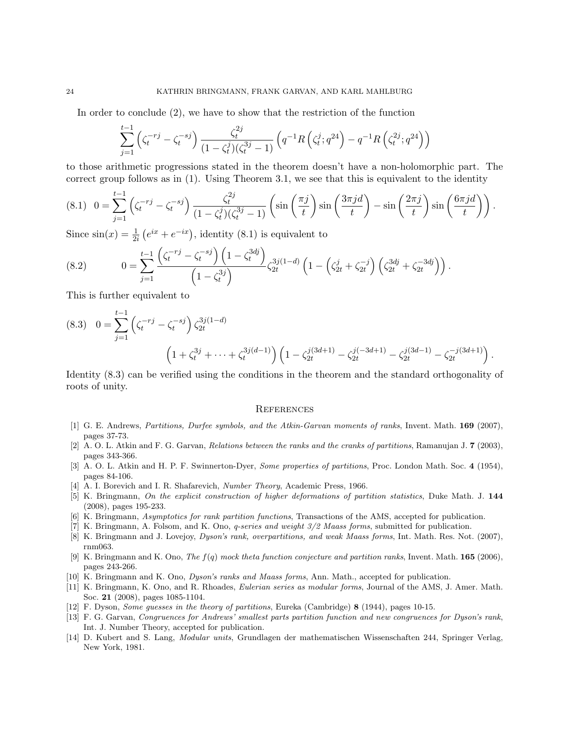In order to conclude (2), we have to show that the restriction of the function

$$
\sum_{j=1}^{t-1} \left( \zeta_t^{-rj} - \zeta_t^{-sj} \right) \frac{\zeta_t^{2j}}{(1 - \zeta_t^j)(\zeta_t^{3j} - 1)} \left( q^{-1} R\left( \zeta_t^j; q^{24} \right) - q^{-1} R\left( \zeta_t^{2j}; q^{24} \right) \right)
$$

to those arithmetic progressions stated in the theorem doesn't have a non-holomorphic part. The correct group follows as in (1). Using Theorem 3.1, we see that this is equivalent to the identity

$$
(8.1) \quad 0 = \sum_{j=1}^{t-1} \left( \zeta_t^{-rj} - \zeta_t^{-sj} \right) \frac{\zeta_t^{2j}}{(1 - \zeta_t^j)(\zeta_t^{3j} - 1)} \left( \sin\left(\frac{\pi j}{t}\right) \sin\left(\frac{3\pi j d}{t}\right) - \sin\left(\frac{2\pi j}{t}\right) \sin\left(\frac{6\pi j d}{t}\right) \right).
$$

Since  $\sin(x) = \frac{1}{2i} (e^{ix} + e^{-ix})$ , identity (8.1) is equivalent to

(8.2) 
$$
0 = \sum_{j=1}^{t-1} \frac{\left(\zeta_t^{-rj} - \zeta_t^{-sj}\right)\left(1 - \zeta_t^{3dj}\right)}{\left(1 - \zeta_t^{3j}\right)} \zeta_{2t}^{3j(1-d)} \left(1 - \left(\zeta_{2t}^j + \zeta_{2t}^{-j}\right)\left(\zeta_{2t}^{3dj} + \zeta_{2t}^{-3dj}\right)\right).
$$

This is further equivalent to

$$
(8.3) \quad 0 = \sum_{j=1}^{t-1} \left( \zeta_t^{-rj} - \zeta_t^{-sj} \right) \zeta_{2t}^{3j(1-d)} \left( 1 + \zeta_t^{3j} + \dots + \zeta_t^{3j(d-1)} \right) \left( 1 - \zeta_{2t}^{j(3d+1)} - \zeta_{2t}^{j(-3d+1)} - \zeta_{2t}^{j(3d-1)} - \zeta_{2t}^{-j(3d+1)} \right).
$$

Identity (8.3) can be verified using the conditions in the theorem and the standard orthogonality of roots of unity.

#### **REFERENCES**

- [1] G. E. Andrews, Partitions, Durfee symbols, and the Atkin-Garvan moments of ranks, Invent. Math. 169 (2007), pages 37-73.
- [2] A. O. L. Atkin and F. G. Garvan, Relations between the ranks and the cranks of partitions, Ramanujan J. 7 (2003), pages 343-366.
- [3] A. O. L. Atkin and H. P. F. Swinnerton-Dyer, Some properties of partitions, Proc. London Math. Soc. 4 (1954), pages 84-106.
- [4] A. I. Borevich and I. R. Shafarevich, Number Theory, Academic Press, 1966.
- [5] K. Bringmann, On the explicit construction of higher deformations of partition statistics, Duke Math. J. 144 (2008), pages 195-233.
- [6] K. Bringmann, Asymptotics for rank partition functions, Transactions of the AMS, accepted for publication.
- [7] K. Bringmann, A. Folsom, and K. Ono, q-series and weight 3/2 Maass forms, submitted for publication.
- [8] K. Bringmann and J. Lovejoy, Dyson's rank, overpartitions, and weak Maass forms, Int. Math. Res. Not. (2007), rnm063.
- [9] K. Bringmann and K. Ono, The  $f(q)$  mock theta function conjecture and partition ranks, Invent. Math. **165** (2006), pages 243-266.
- [10] K. Bringmann and K. Ono, *Dyson's ranks and Maass forms*, Ann. Math., accepted for publication.
- [11] K. Bringmann, K. Ono, and R. Rhoades, *Eulerian series as modular forms*, Journal of the AMS, J. Amer. Math. Soc. 21 (2008), pages 1085-1104.
- [12] F. Dyson, Some guesses in the theory of partitions, Eureka (Cambridge) 8 (1944), pages 10-15.
- [13] F. G. Garvan, Congruences for Andrews' smallest parts partition function and new congruences for Dyson's rank, Int. J. Number Theory, accepted for publication.
- [14] D. Kubert and S. Lang, Modular units, Grundlagen der mathematischen Wissenschaften 244, Springer Verlag, New York, 1981.